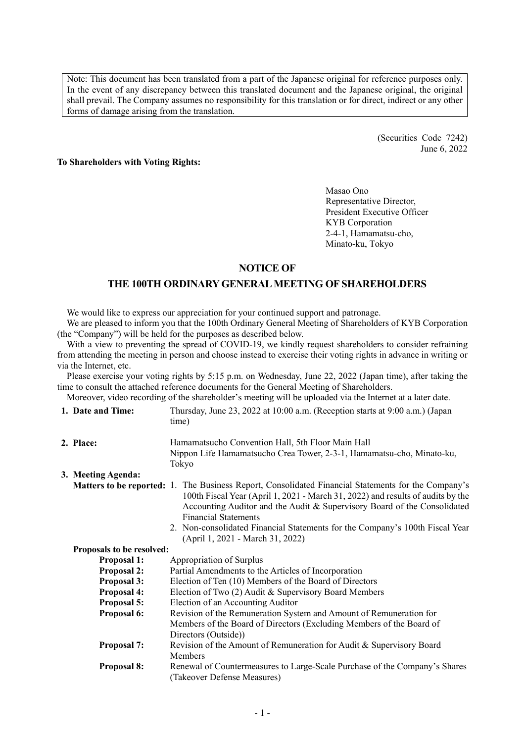Note: This document has been translated from a part of the Japanese original for reference purposes only. In the event of any discrepancy between this translated document and the Japanese original, the original shall prevail. The Company assumes no responsibility for this translation or for direct, indirect or any other forms of damage arising from the translation.

> (Securities Code 7242) June 6, 2022

# **To Shareholders with Voting Rights:**

Masao Ono Representative Director, President Executive Officer KYB Corporation 2-4-1, Hamamatsu-cho, Minato-ku, Tokyo

# **NOTICE OF**

## **THE 100TH ORDINARY GENERAL MEETING OF SHAREHOLDERS**

We would like to express our appreciation for your continued support and patronage.

We are pleased to inform you that the 100th Ordinary General Meeting of Shareholders of KYB Corporation (the "Company") will be held for the purposes as described below.

With a view to preventing the spread of COVID-19, we kindly request shareholders to consider refraining from attending the meeting in person and choose instead to exercise their voting rights in advance in writing or via the Internet, etc.

Please exercise your voting rights by 5:15 p.m. on Wednesday, June 22, 2022 (Japan time), after taking the time to consult the attached reference documents for the General Meeting of Shareholders.

Moreover, video recording of the shareholder's meeting will be uploaded via the Internet at a later date.

| 1. Date and Time:         | Thursday, June 23, 2022 at 10:00 a.m. (Reception starts at 9:00 a.m.) (Japan<br>time)                                                                                                                                                                                                                    |
|---------------------------|----------------------------------------------------------------------------------------------------------------------------------------------------------------------------------------------------------------------------------------------------------------------------------------------------------|
| 2. Place:                 | Hamamatsucho Convention Hall, 5th Floor Main Hall                                                                                                                                                                                                                                                        |
|                           | Nippon Life Hamamatsucho Crea Tower, 2-3-1, Hamamatsu-cho, Minato-ku,<br>Tokyo                                                                                                                                                                                                                           |
| 3. Meeting Agenda:        |                                                                                                                                                                                                                                                                                                          |
|                           | <b>Matters to be reported:</b> 1. The Business Report, Consolidated Financial Statements for the Company's<br>100th Fiscal Year (April 1, 2021 - March 31, 2022) and results of audits by the<br>Accounting Auditor and the Audit & Supervisory Board of the Consolidated<br><b>Financial Statements</b> |
|                           | 2. Non-consolidated Financial Statements for the Company's 100th Fiscal Year<br>(April 1, 2021 - March 31, 2022)                                                                                                                                                                                         |
| Proposals to be resolved: |                                                                                                                                                                                                                                                                                                          |
| <b>Proposal 1:</b>        | Appropriation of Surplus                                                                                                                                                                                                                                                                                 |
| <b>Proposal 2:</b>        | Partial Amendments to the Articles of Incorporation                                                                                                                                                                                                                                                      |
| <b>Proposal 3:</b>        | Election of Ten (10) Members of the Board of Directors                                                                                                                                                                                                                                                   |
| <b>Proposal 4:</b>        | Election of Two (2) Audit & Supervisory Board Members                                                                                                                                                                                                                                                    |
| Proposal 5:               | Election of an Accounting Auditor                                                                                                                                                                                                                                                                        |
| Proposal 6:               | Revision of the Remuneration System and Amount of Remuneration for<br>Members of the Board of Directors (Excluding Members of the Board of<br>Directors (Outside))                                                                                                                                       |
| <b>Proposal 7:</b>        | Revision of the Amount of Remuneration for Audit & Supervisory Board<br><b>Members</b>                                                                                                                                                                                                                   |
| <b>Proposal 8:</b>        | Renewal of Countermeasures to Large-Scale Purchase of the Company's Shares<br>(Takeover Defense Measures)                                                                                                                                                                                                |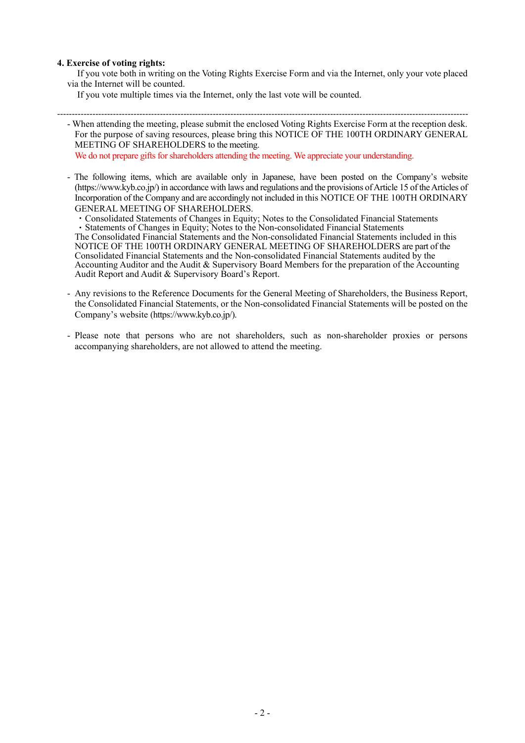# **4. Exercise of voting rights:**

If you vote both in writing on the Voting Rights Exercise Form and via the Internet, only your vote placed via the Internet will be counted.

If you vote multiple times via the Internet, only the last vote will be counted.

--------------------------------------------------------------------------------------------------------------------------------------------

- When attending the meeting, please submit the enclosed Voting Rights Exercise Form at the reception desk. For the purpose of saving resources, please bring this NOTICE OF THE 100TH ORDINARY GENERAL MEETING OF SHAREHOLDERS to the meeting.

We do not prepare gifts for shareholders attending the meeting. We appreciate your understanding.

- The following items, which are available only in Japanese, have been posted on the Company's website (https://www.kyb.co.jp/) in accordance with laws and regulations and the provisions of Article 15 of the Articles of Incorporation of the Company and are accordingly not included in this NOTICE OF THE 100TH ORDINARY GENERAL MEETING OF SHAREHOLDERS.

・Consolidated Statements of Changes in Equity; Notes to the Consolidated Financial Statements ・Statements of Changes in Equity; Notes to the Non-consolidated Financial Statements

The Consolidated Financial Statements and the Non-consolidated Financial Statements included in this NOTICE OF THE 100TH ORDINARY GENERAL MEETING OF SHAREHOLDERS are part of the Consolidated Financial Statements and the Non-consolidated Financial Statements audited by the Accounting Auditor and the Audit & Supervisory Board Members for the preparation of the Accounting Audit Report and Audit & Supervisory Board's Report.

- Any revisions to the Reference Documents for the General Meeting of Shareholders, the Business Report, the Consolidated Financial Statements, or the Non-consolidated Financial Statements will be posted on the Company's website (https://www.kyb.co.jp/).
- Please note that persons who are not shareholders, such as non-shareholder proxies or persons accompanying shareholders, are not allowed to attend the meeting.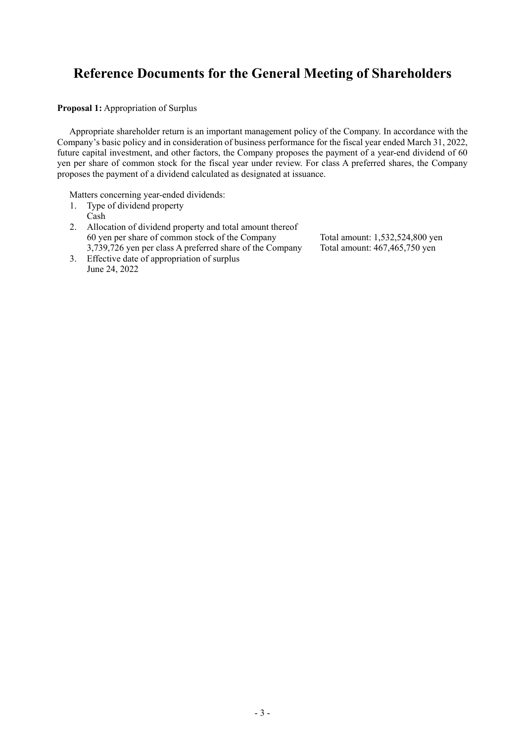# **Reference Documents for the General Meeting of Shareholders**

**Proposal 1:** Appropriation of Surplus

Appropriate shareholder return is an important management policy of the Company. In accordance with the Company's basic policy and in consideration of business performance for the fiscal year ended March 31, 2022, future capital investment, and other factors, the Company proposes the payment of a year-end dividend of 60 yen per share of common stock for the fiscal year under review. For class A preferred shares, the Company proposes the payment of a dividend calculated as designated at issuance.

Matters concerning year-ended dividends:

- 1. Type of dividend property Cash
- 2. Allocation of dividend property and total amount thereof 60 yen per share of common stock of the Company Total amount: 1,532,524,800 yen 3,739,726 yen per class A preferred share of the Company Total amount: 467,465,750 yen
- 3. Effective date of appropriation of surplus June 24, 2022
-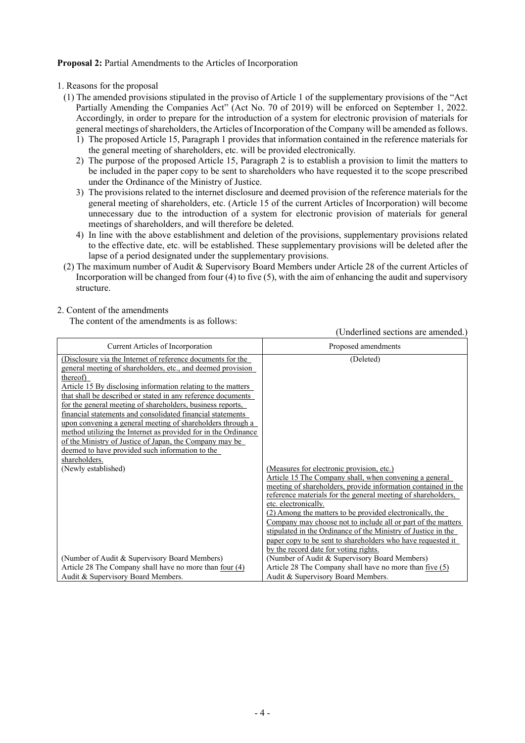## **Proposal 2:** Partial Amendments to the Articles of Incorporation

- 1. Reasons for the proposal
	- (1) The amended provisions stipulated in the proviso of Article 1 of the supplementary provisions of the "Act Partially Amending the Companies Act" (Act No. 70 of 2019) will be enforced on September 1, 2022. Accordingly, in order to prepare for the introduction of a system for electronic provision of materials for general meetings of shareholders, the Articles of Incorporation of the Company will be amended as follows.
		- 1) The proposed Article 15, Paragraph 1 provides that information contained in the reference materials for the general meeting of shareholders, etc. will be provided electronically.
		- 2) The purpose of the proposed Article 15, Paragraph 2 is to establish a provision to limit the matters to be included in the paper copy to be sent to shareholders who have requested it to the scope prescribed under the Ordinance of the Ministry of Justice.
		- 3) The provisions related to the internet disclosure and deemed provision of the reference materials for the general meeting of shareholders, etc. (Article 15 of the current Articles of Incorporation) will become unnecessary due to the introduction of a system for electronic provision of materials for general meetings of shareholders, and will therefore be deleted.
		- 4) In line with the above establishment and deletion of the provisions, supplementary provisions related to the effective date, etc. will be established. These supplementary provisions will be deleted after the lapse of a period designated under the supplementary provisions.
	- (2) The maximum number of Audit & Supervisory Board Members under Article 28 of the current Articles of Incorporation will be changed from four (4) to five (5), with the aim of enhancing the audit and supervisory structure.

# 2. Content of the amendments

The content of the amendments is as follows:

(Underlined sections are amended.) Current Articles of Incorporation and Proposed amendments (Disclosure via the Internet of reference documents for the general meeting of shareholders, etc., and deemed provision thereof) Article 15 By disclosing information relating to the matters that shall be described or stated in any reference documents for the general meeting of shareholders, business reports, financial statements and consolidated financial statements upon convening a general meeting of shareholders through a method utilizing the Internet as provided for in the Ordinance of the Ministry of Justice of Japan, the Company may be deemed to have provided such information to the shareholders. (Deleted) (Newly established) (Measures for electronic provision, etc.) Article 15 The Company shall, when convening a general meeting of shareholders, provide information contained in the reference materials for the general meeting of shareholders, etc. electronically. (2) Among the matters to be provided electronically, the Company may choose not to include all or part of the matters stipulated in the Ordinance of the Ministry of Justice in the paper copy to be sent to shareholders who have requested it by the record date for voting rights. (Number of Audit & Supervisory Board Members) Article 28 The Company shall have no more than four (4) Audit & Supervisory Board Members. (Number of Audit & Supervisory Board Members) Article 28 The Company shall have no more than five (5) Audit & Supervisory Board Members.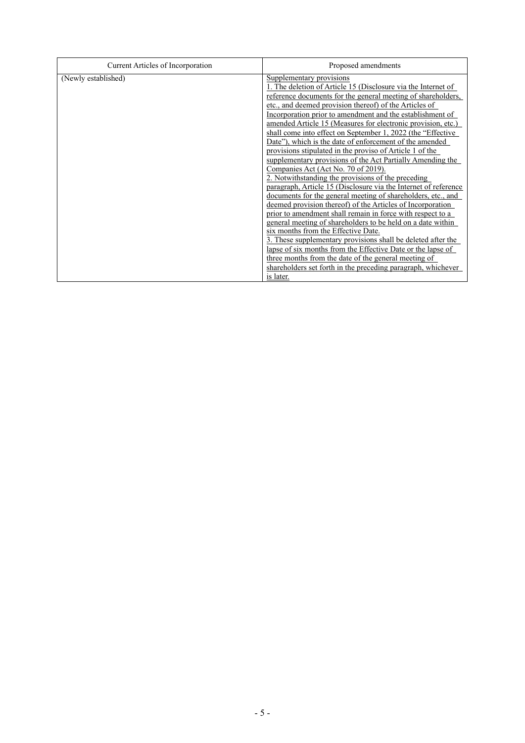| Current Articles of Incorporation | Proposed amendments                                                                                                                                                                                                                                                                                                                                                                                                                                                                                                                                                                                                                                                                                                                                                                                                                                                                                                                                                                                                                                                                                                                                                                                                                                                                                                                         |
|-----------------------------------|---------------------------------------------------------------------------------------------------------------------------------------------------------------------------------------------------------------------------------------------------------------------------------------------------------------------------------------------------------------------------------------------------------------------------------------------------------------------------------------------------------------------------------------------------------------------------------------------------------------------------------------------------------------------------------------------------------------------------------------------------------------------------------------------------------------------------------------------------------------------------------------------------------------------------------------------------------------------------------------------------------------------------------------------------------------------------------------------------------------------------------------------------------------------------------------------------------------------------------------------------------------------------------------------------------------------------------------------|
| (Newly established)               | Supplementary provisions<br>1. The deletion of Article 15 (Disclosure via the Internet of<br>reference documents for the general meeting of shareholders,<br>etc., and deemed provision thereof) of the Articles of<br>Incorporation prior to amendment and the establishment of<br>amended Article 15 (Measures for electronic provision, etc.)<br>shall come into effect on September 1, 2022 (the "Effective"<br>Date"), which is the date of enforcement of the amended<br>provisions stipulated in the proviso of Article 1 of the<br>supplementary provisions of the Act Partially Amending the<br>Companies Act (Act No. 70 of 2019).<br>2. Notwithstanding the provisions of the preceding<br>paragraph, Article 15 (Disclosure via the Internet of reference<br>documents for the general meeting of shareholders, etc., and<br>deemed provision thereof) of the Articles of Incorporation<br>prior to amendment shall remain in force with respect to a<br>general meeting of shareholders to be held on a date within<br>six months from the Effective Date.<br>3. These supplementary provisions shall be deleted after the<br>lapse of six months from the Effective Date or the lapse of<br>three months from the date of the general meeting of<br>shareholders set forth in the preceding paragraph, whichever<br>is later. |
|                                   |                                                                                                                                                                                                                                                                                                                                                                                                                                                                                                                                                                                                                                                                                                                                                                                                                                                                                                                                                                                                                                                                                                                                                                                                                                                                                                                                             |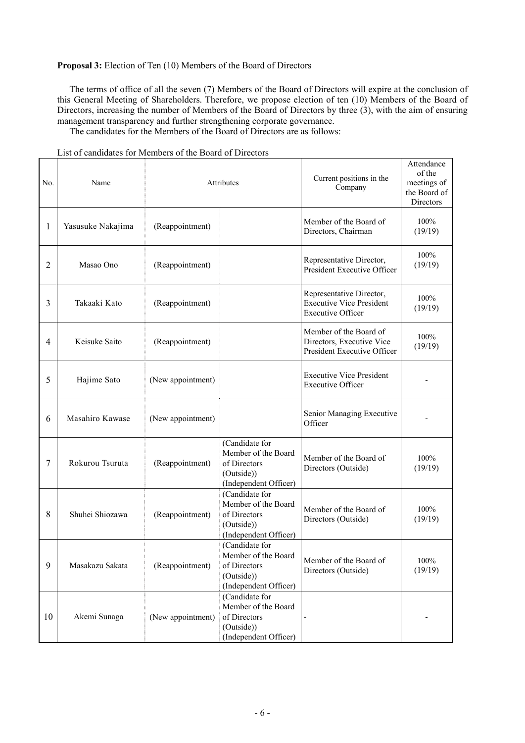# **Proposal 3:** Election of Ten (10) Members of the Board of Directors

The terms of office of all the seven (7) Members of the Board of Directors will expire at the conclusion of this General Meeting of Shareholders. Therefore, we propose election of ten (10) Members of the Board of Directors, increasing the number of Members of the Board of Directors by three (3), with the aim of ensuring management transparency and further strengthening corporate governance.

The candidates for the Members of the Board of Directors are as follows:

| No. | Name              | Attributes        |                                                                                              | Current positions in the<br>Company                                                     | Attendance<br>of the<br>meetings of<br>the Board of<br>Directors |
|-----|-------------------|-------------------|----------------------------------------------------------------------------------------------|-----------------------------------------------------------------------------------------|------------------------------------------------------------------|
| 1   | Yasusuke Nakajima | (Reappointment)   |                                                                                              | Member of the Board of<br>Directors, Chairman                                           | 100%<br>(19/19)                                                  |
| 2   | Masao Ono         | (Reappointment)   |                                                                                              | Representative Director,<br>President Executive Officer                                 | 100%<br>(19/19)                                                  |
| 3   | Takaaki Kato      | (Reappointment)   |                                                                                              | Representative Director,<br><b>Executive Vice President</b><br><b>Executive Officer</b> | 100%<br>(19/19)                                                  |
| 4   | Keisuke Saito     | (Reappointment)   |                                                                                              | Member of the Board of<br>Directors, Executive Vice<br>President Executive Officer      | 100%<br>(19/19)                                                  |
| 5   | Hajime Sato       | (New appointment) |                                                                                              | <b>Executive Vice President</b><br><b>Executive Officer</b>                             |                                                                  |
| 6   | Masahiro Kawase   | (New appointment) |                                                                                              | Senior Managing Executive<br>Officer                                                    |                                                                  |
| 7   | Rokurou Tsuruta   | (Reappointment)   | (Candidate for<br>Member of the Board<br>of Directors<br>(Outside))<br>(Independent Officer) | Member of the Board of<br>Directors (Outside)                                           | 100%<br>(19/19)                                                  |
| 8   | Shuhei Shiozawa   | (Reappointment)   | (Candidate for<br>Member of the Board<br>of Directors<br>(Outside))<br>(Independent Officer) | Member of the Board of<br>Directors (Outside)                                           | 100%<br>(19/19)                                                  |
| 9   | Masakazu Sakata   | (Reappointment)   | (Candidate for<br>Member of the Board<br>of Directors<br>(Outside))<br>(Independent Officer) | Member of the Board of<br>Directors (Outside)                                           | 100%<br>(19/19)                                                  |
| 10  | Akemi Sunaga      | (New appointment) | (Candidate for<br>Member of the Board<br>of Directors<br>(Outside))<br>(Independent Officer) |                                                                                         |                                                                  |

List of candidates for Members of the Board of Directors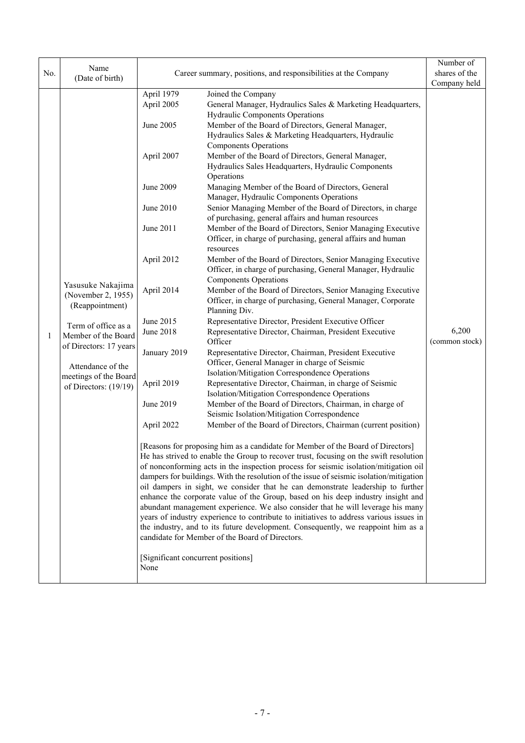| No. | Name                                                                                                                               |                                    | Career summary, positions, and responsibilities at the Company                                                                                                      | Number of<br>shares of the |
|-----|------------------------------------------------------------------------------------------------------------------------------------|------------------------------------|---------------------------------------------------------------------------------------------------------------------------------------------------------------------|----------------------------|
|     | (Date of birth)                                                                                                                    |                                    |                                                                                                                                                                     | Company held               |
|     |                                                                                                                                    | April 1979                         | Joined the Company                                                                                                                                                  |                            |
|     |                                                                                                                                    | April 2005                         | General Manager, Hydraulics Sales & Marketing Headquarters,                                                                                                         |                            |
|     |                                                                                                                                    |                                    | <b>Hydraulic Components Operations</b>                                                                                                                              |                            |
|     |                                                                                                                                    | June 2005                          | Member of the Board of Directors, General Manager,                                                                                                                  |                            |
|     |                                                                                                                                    |                                    | Hydraulics Sales & Marketing Headquarters, Hydraulic                                                                                                                |                            |
|     |                                                                                                                                    |                                    | <b>Components Operations</b>                                                                                                                                        |                            |
|     |                                                                                                                                    | April 2007                         | Member of the Board of Directors, General Manager,<br>Hydraulics Sales Headquarters, Hydraulic Components                                                           |                            |
|     |                                                                                                                                    |                                    | Operations                                                                                                                                                          |                            |
|     |                                                                                                                                    | June 2009                          | Managing Member of the Board of Directors, General                                                                                                                  |                            |
|     |                                                                                                                                    |                                    | Manager, Hydraulic Components Operations                                                                                                                            |                            |
|     |                                                                                                                                    | June 2010                          | Senior Managing Member of the Board of Directors, in charge                                                                                                         |                            |
|     |                                                                                                                                    |                                    | of purchasing, general affairs and human resources                                                                                                                  |                            |
|     |                                                                                                                                    | June 2011                          | Member of the Board of Directors, Senior Managing Executive                                                                                                         |                            |
|     |                                                                                                                                    |                                    | Officer, in charge of purchasing, general affairs and human                                                                                                         |                            |
|     |                                                                                                                                    |                                    | resources                                                                                                                                                           |                            |
|     |                                                                                                                                    | April 2012                         | Member of the Board of Directors, Senior Managing Executive                                                                                                         |                            |
|     | Yasusuke Nakajima<br>(November 2, 1955)<br>(Reappointment)<br>Term of office as a<br>Member of the Board<br>of Directors: 17 years |                                    | Officer, in charge of purchasing, General Manager, Hydraulic                                                                                                        |                            |
|     |                                                                                                                                    |                                    | <b>Components Operations</b>                                                                                                                                        |                            |
|     |                                                                                                                                    | April 2014                         | Member of the Board of Directors, Senior Managing Executive<br>Officer, in charge of purchasing, General Manager, Corporate                                         |                            |
|     |                                                                                                                                    |                                    | Planning Div.                                                                                                                                                       |                            |
|     |                                                                                                                                    | June 2015                          | Representative Director, President Executive Officer                                                                                                                |                            |
| 1   |                                                                                                                                    | June 2018                          | Representative Director, Chairman, President Executive<br>Officer                                                                                                   | 6,200<br>(common stock)    |
|     |                                                                                                                                    | January 2019                       | Representative Director, Chairman, President Executive                                                                                                              |                            |
|     | Attendance of the<br>meetings of the Board<br>of Directors: (19/19)                                                                |                                    | Officer, General Manager in charge of Seismic                                                                                                                       |                            |
|     |                                                                                                                                    | April 2019                         | Isolation/Mitigation Correspondence Operations                                                                                                                      |                            |
|     |                                                                                                                                    |                                    | Representative Director, Chairman, in charge of Seismic                                                                                                             |                            |
|     |                                                                                                                                    | June 2019                          | Isolation/Mitigation Correspondence Operations<br>Member of the Board of Directors, Chairman, in charge of                                                          |                            |
|     |                                                                                                                                    |                                    | Seismic Isolation/Mitigation Correspondence                                                                                                                         |                            |
|     |                                                                                                                                    | April 2022                         | Member of the Board of Directors, Chairman (current position)                                                                                                       |                            |
|     |                                                                                                                                    |                                    |                                                                                                                                                                     |                            |
|     |                                                                                                                                    |                                    | [Reasons for proposing him as a candidate for Member of the Board of Directors]                                                                                     |                            |
|     |                                                                                                                                    |                                    | He has strived to enable the Group to recover trust, focusing on the swift resolution                                                                               |                            |
|     |                                                                                                                                    |                                    | of nonconforming acts in the inspection process for seismic isolation/mitigation oil                                                                                |                            |
|     |                                                                                                                                    |                                    | dampers for buildings. With the resolution of the issue of seismic isolation/mitigation                                                                             |                            |
|     |                                                                                                                                    |                                    | oil dampers in sight, we consider that he can demonstrate leadership to further<br>enhance the corporate value of the Group, based on his deep industry insight and |                            |
|     |                                                                                                                                    |                                    | abundant management experience. We also consider that he will leverage his many                                                                                     |                            |
|     |                                                                                                                                    |                                    | years of industry experience to contribute to initiatives to address various issues in                                                                              |                            |
|     |                                                                                                                                    |                                    | the industry, and to its future development. Consequently, we reappoint him as a                                                                                    |                            |
|     |                                                                                                                                    |                                    | candidate for Member of the Board of Directors.                                                                                                                     |                            |
|     |                                                                                                                                    | [Significant concurrent positions] |                                                                                                                                                                     |                            |
|     |                                                                                                                                    | None                               |                                                                                                                                                                     |                            |
|     |                                                                                                                                    |                                    |                                                                                                                                                                     |                            |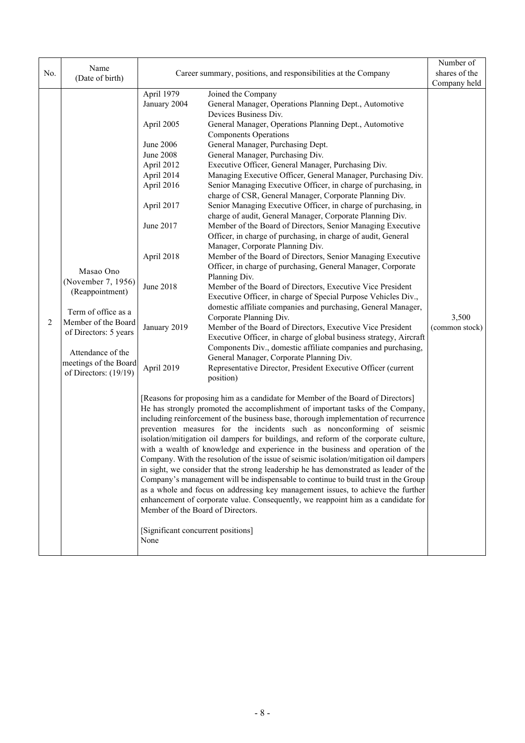| No. | Name<br>(Date of birth)                                                                          |                                    | Career summary, positions, and responsibilities at the Company                        | Number of<br>shares of the |
|-----|--------------------------------------------------------------------------------------------------|------------------------------------|---------------------------------------------------------------------------------------|----------------------------|
|     |                                                                                                  |                                    |                                                                                       | Company held               |
|     |                                                                                                  | April 1979                         | Joined the Company                                                                    |                            |
|     |                                                                                                  | January 2004                       | General Manager, Operations Planning Dept., Automotive                                |                            |
|     |                                                                                                  |                                    | Devices Business Div.                                                                 |                            |
|     |                                                                                                  | April 2005                         | General Manager, Operations Planning Dept., Automotive                                |                            |
|     |                                                                                                  |                                    | <b>Components Operations</b>                                                          |                            |
|     |                                                                                                  | June 2006<br><b>June 2008</b>      | General Manager, Purchasing Dept.<br>General Manager, Purchasing Div.                 |                            |
|     |                                                                                                  | April 2012                         | Executive Officer, General Manager, Purchasing Div.                                   |                            |
|     |                                                                                                  | April 2014                         | Managing Executive Officer, General Manager, Purchasing Div.                          |                            |
|     |                                                                                                  | April 2016                         | Senior Managing Executive Officer, in charge of purchasing, in                        |                            |
|     |                                                                                                  |                                    | charge of CSR, General Manager, Corporate Planning Div.                               |                            |
|     |                                                                                                  | April 2017                         | Senior Managing Executive Officer, in charge of purchasing, in                        |                            |
|     |                                                                                                  |                                    | charge of audit, General Manager, Corporate Planning Div.                             |                            |
|     |                                                                                                  | June 2017                          | Member of the Board of Directors, Senior Managing Executive                           |                            |
|     |                                                                                                  |                                    | Officer, in charge of purchasing, in charge of audit, General                         |                            |
|     |                                                                                                  |                                    | Manager, Corporate Planning Div.                                                      |                            |
|     |                                                                                                  | April 2018                         | Member of the Board of Directors, Senior Managing Executive                           |                            |
|     |                                                                                                  |                                    | Officer, in charge of purchasing, General Manager, Corporate                          |                            |
|     | Masao Ono<br>(November 7, 1956)<br>(Reappointment)<br>Term of office as a<br>Member of the Board |                                    | Planning Div.                                                                         |                            |
|     |                                                                                                  | <b>June 2018</b>                   | Member of the Board of Directors, Executive Vice President                            |                            |
|     |                                                                                                  |                                    | Executive Officer, in charge of Special Purpose Vehicles Div.,                        |                            |
|     |                                                                                                  |                                    | domestic affiliate companies and purchasing, General Manager,                         |                            |
| 2   |                                                                                                  |                                    | Corporate Planning Div.                                                               | 3,500                      |
|     | of Directors: 5 years                                                                            | January 2019                       | Member of the Board of Directors, Executive Vice President                            | (common stock)             |
|     |                                                                                                  |                                    | Executive Officer, in charge of global business strategy, Aircraft                    |                            |
|     | Attendance of the                                                                                |                                    | Components Div., domestic affiliate companies and purchasing,                         |                            |
|     | meetings of the Board                                                                            |                                    | General Manager, Corporate Planning Div.                                              |                            |
|     | of Directors: (19/19)                                                                            | April 2019                         | Representative Director, President Executive Officer (current                         |                            |
|     |                                                                                                  |                                    | position)                                                                             |                            |
|     |                                                                                                  |                                    | [Reasons for proposing him as a candidate for Member of the Board of Directors]       |                            |
|     |                                                                                                  |                                    | He has strongly promoted the accomplishment of important tasks of the Company,        |                            |
|     |                                                                                                  |                                    | including reinforcement of the business base, thorough implementation of recurrence   |                            |
|     |                                                                                                  |                                    | prevention measures for the incidents such as nonconforming of seismic                |                            |
|     |                                                                                                  |                                    | isolation/mitigation oil dampers for buildings, and reform of the corporate culture,  |                            |
|     |                                                                                                  |                                    | with a wealth of knowledge and experience in the business and operation of the        |                            |
|     |                                                                                                  |                                    | Company. With the resolution of the issue of seismic isolation/mitigation oil dampers |                            |
|     |                                                                                                  |                                    | in sight, we consider that the strong leadership he has demonstrated as leader of the |                            |
|     |                                                                                                  |                                    | Company's management will be indispensable to continue to build trust in the Group    |                            |
|     |                                                                                                  |                                    | as a whole and focus on addressing key management issues, to achieve the further      |                            |
|     |                                                                                                  | Member of the Board of Directors.  | enhancement of corporate value. Consequently, we reappoint him as a candidate for     |                            |
|     |                                                                                                  | [Significant concurrent positions] |                                                                                       |                            |
|     |                                                                                                  | None                               |                                                                                       |                            |
|     |                                                                                                  |                                    |                                                                                       |                            |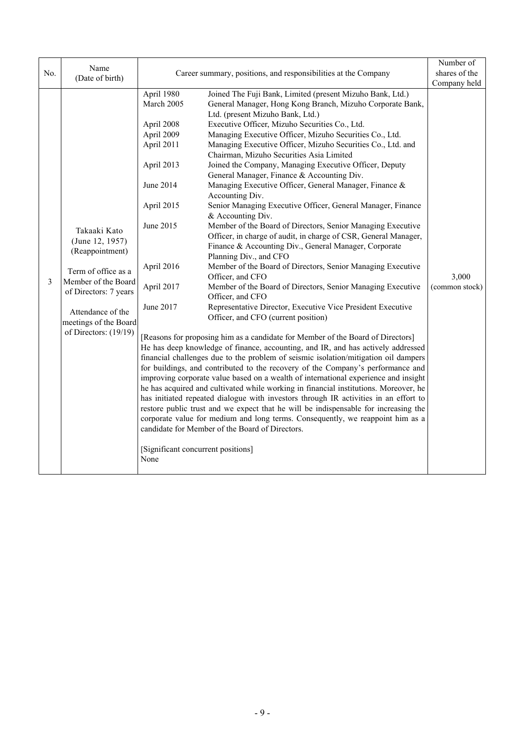| No. | Name<br>(Date of birth)                                                                                                                                                                          |                                                                                                                                                                                                                 | Career summary, positions, and responsibilities at the Company                                                                                                                                                                                                                                                                                                                                                                                                                                                                                                                                                                                                                                                                                                                                                                                                                                                                                                                                                                                                                                                                                                                                                                                                                                                                                                                                                                                                                                                                                                                                                                                                                                                                                                                                                                                                                                                                                                                                                   | Number of<br>shares of the              |
|-----|--------------------------------------------------------------------------------------------------------------------------------------------------------------------------------------------------|-----------------------------------------------------------------------------------------------------------------------------------------------------------------------------------------------------------------|------------------------------------------------------------------------------------------------------------------------------------------------------------------------------------------------------------------------------------------------------------------------------------------------------------------------------------------------------------------------------------------------------------------------------------------------------------------------------------------------------------------------------------------------------------------------------------------------------------------------------------------------------------------------------------------------------------------------------------------------------------------------------------------------------------------------------------------------------------------------------------------------------------------------------------------------------------------------------------------------------------------------------------------------------------------------------------------------------------------------------------------------------------------------------------------------------------------------------------------------------------------------------------------------------------------------------------------------------------------------------------------------------------------------------------------------------------------------------------------------------------------------------------------------------------------------------------------------------------------------------------------------------------------------------------------------------------------------------------------------------------------------------------------------------------------------------------------------------------------------------------------------------------------------------------------------------------------------------------------------------------------|-----------------------------------------|
| 3   | Takaaki Kato<br>(June 12, 1957)<br>(Reappointment)<br>Term of office as a<br>Member of the Board<br>of Directors: 7 years<br>Attendance of the<br>meetings of the Board<br>of Directors: (19/19) | April 1980<br>March 2005<br>April 2008<br>April 2009<br>April 2011<br>April 2013<br>June 2014<br>April 2015<br>June 2015<br>April 2016<br>April 2017<br>June 2017<br>[Significant concurrent positions]<br>None | Joined The Fuji Bank, Limited (present Mizuho Bank, Ltd.)<br>General Manager, Hong Kong Branch, Mizuho Corporate Bank,<br>Ltd. (present Mizuho Bank, Ltd.)<br>Executive Officer, Mizuho Securities Co., Ltd.<br>Managing Executive Officer, Mizuho Securities Co., Ltd.<br>Managing Executive Officer, Mizuho Securities Co., Ltd. and<br>Chairman, Mizuho Securities Asia Limited<br>Joined the Company, Managing Executive Officer, Deputy<br>General Manager, Finance & Accounting Div.<br>Managing Executive Officer, General Manager, Finance &<br>Accounting Div.<br>Senior Managing Executive Officer, General Manager, Finance<br>& Accounting Div.<br>Member of the Board of Directors, Senior Managing Executive<br>Officer, in charge of audit, in charge of CSR, General Manager,<br>Finance & Accounting Div., General Manager, Corporate<br>Planning Div., and CFO<br>Member of the Board of Directors, Senior Managing Executive<br>Officer, and CFO<br>Member of the Board of Directors, Senior Managing Executive<br>Officer, and CFO<br>Representative Director, Executive Vice President Executive<br>Officer, and CFO (current position)<br>[Reasons for proposing him as a candidate for Member of the Board of Directors]<br>He has deep knowledge of finance, accounting, and IR, and has actively addressed<br>financial challenges due to the problem of seismic isolation/mitigation oil dampers<br>for buildings, and contributed to the recovery of the Company's performance and<br>improving corporate value based on a wealth of international experience and insight<br>he has acquired and cultivated while working in financial institutions. Moreover, he<br>has initiated repeated dialogue with investors through IR activities in an effort to<br>restore public trust and we expect that he will be indispensable for increasing the<br>corporate value for medium and long terms. Consequently, we reappoint him as a<br>candidate for Member of the Board of Directors. | Company held<br>3,000<br>(common stock) |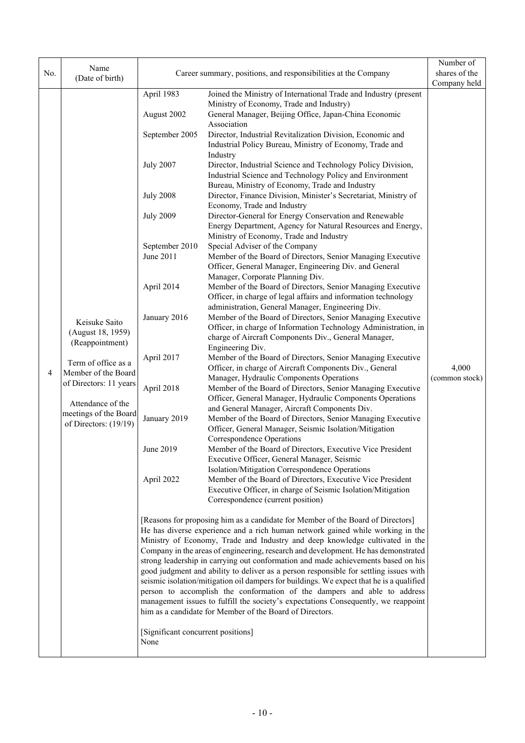| No. | Name<br>(Date of birth)                                                                                                                                                                              |                                                                                                                                                                                                                                                                                           | Career summary, positions, and responsibilities at the Company                                                                                                                                                                                                                                                                                                                                                                                                                                                                                                                                                                                                                                                                                                                                                                                                                                                                                                                                                                                                                                                                                                                                                                                                                                                                                                                                                                                                                                                                                                                                                                                                                                                                                                                                                                                                                                                                                                                                                                                                                                                                                                                                                                                                                                                                                                                                                                                                                                                                                                                                                                                                                                                                                                                                                                                                                                                                                                                                                                                                                          | Number of<br>shares of the<br>Company held |
|-----|------------------------------------------------------------------------------------------------------------------------------------------------------------------------------------------------------|-------------------------------------------------------------------------------------------------------------------------------------------------------------------------------------------------------------------------------------------------------------------------------------------|-----------------------------------------------------------------------------------------------------------------------------------------------------------------------------------------------------------------------------------------------------------------------------------------------------------------------------------------------------------------------------------------------------------------------------------------------------------------------------------------------------------------------------------------------------------------------------------------------------------------------------------------------------------------------------------------------------------------------------------------------------------------------------------------------------------------------------------------------------------------------------------------------------------------------------------------------------------------------------------------------------------------------------------------------------------------------------------------------------------------------------------------------------------------------------------------------------------------------------------------------------------------------------------------------------------------------------------------------------------------------------------------------------------------------------------------------------------------------------------------------------------------------------------------------------------------------------------------------------------------------------------------------------------------------------------------------------------------------------------------------------------------------------------------------------------------------------------------------------------------------------------------------------------------------------------------------------------------------------------------------------------------------------------------------------------------------------------------------------------------------------------------------------------------------------------------------------------------------------------------------------------------------------------------------------------------------------------------------------------------------------------------------------------------------------------------------------------------------------------------------------------------------------------------------------------------------------------------------------------------------------------------------------------------------------------------------------------------------------------------------------------------------------------------------------------------------------------------------------------------------------------------------------------------------------------------------------------------------------------------------------------------------------------------------------------------------------------------|--------------------------------------------|
| 4   | Keisuke Saito<br>(August 18, 1959)<br>(Reappointment)<br>Term of office as a<br>Member of the Board<br>of Directors: 11 years<br>Attendance of the<br>meetings of the Board<br>of Directors: (19/19) | April 1983<br>August 2002<br>September 2005<br><b>July 2007</b><br><b>July 2008</b><br><b>July 2009</b><br>September 2010<br>June 2011<br>April 2014<br>January 2016<br>April 2017<br>April 2018<br>January 2019<br>June 2019<br>April 2022<br>[Significant concurrent positions]<br>None | Joined the Ministry of International Trade and Industry (present<br>Ministry of Economy, Trade and Industry)<br>General Manager, Beijing Office, Japan-China Economic<br>Association<br>Director, Industrial Revitalization Division, Economic and<br>Industrial Policy Bureau, Ministry of Economy, Trade and<br>Industry<br>Director, Industrial Science and Technology Policy Division,<br>Industrial Science and Technology Policy and Environment<br>Bureau, Ministry of Economy, Trade and Industry<br>Director, Finance Division, Minister's Secretariat, Ministry of<br>Economy, Trade and Industry<br>Director-General for Energy Conservation and Renewable<br>Energy Department, Agency for Natural Resources and Energy,<br>Ministry of Economy, Trade and Industry<br>Special Adviser of the Company<br>Member of the Board of Directors, Senior Managing Executive<br>Officer, General Manager, Engineering Div. and General<br>Manager, Corporate Planning Div.<br>Member of the Board of Directors, Senior Managing Executive<br>Officer, in charge of legal affairs and information technology<br>administration, General Manager, Engineering Div.<br>Member of the Board of Directors, Senior Managing Executive<br>Officer, in charge of Information Technology Administration, in<br>charge of Aircraft Components Div., General Manager,<br>Engineering Div.<br>Member of the Board of Directors, Senior Managing Executive<br>Officer, in charge of Aircraft Components Div., General<br>Manager, Hydraulic Components Operations<br>Member of the Board of Directors, Senior Managing Executive<br>Officer, General Manager, Hydraulic Components Operations<br>and General Manager, Aircraft Components Div.<br>Member of the Board of Directors, Senior Managing Executive<br>Officer, General Manager, Seismic Isolation/Mitigation<br><b>Correspondence Operations</b><br>Member of the Board of Directors, Executive Vice President<br>Executive Officer, General Manager, Seismic<br>Isolation/Mitigation Correspondence Operations<br>Member of the Board of Directors, Executive Vice President<br>Executive Officer, in charge of Seismic Isolation/Mitigation<br>Correspondence (current position)<br>[Reasons for proposing him as a candidate for Member of the Board of Directors]<br>He has diverse experience and a rich human network gained while working in the<br>Ministry of Economy, Trade and Industry and deep knowledge cultivated in the<br>Company in the areas of engineering, research and development. He has demonstrated<br>strong leadership in carrying out conformation and made achievements based on his<br>good judgment and ability to deliver as a person responsible for settling issues with<br>seismic isolation/mitigation oil dampers for buildings. We expect that he is a qualified<br>person to accomplish the conformation of the dampers and able to address<br>management issues to fulfill the society's expectations Consequently, we reappoint<br>him as a candidate for Member of the Board of Directors. | 4,000<br>(common stock)                    |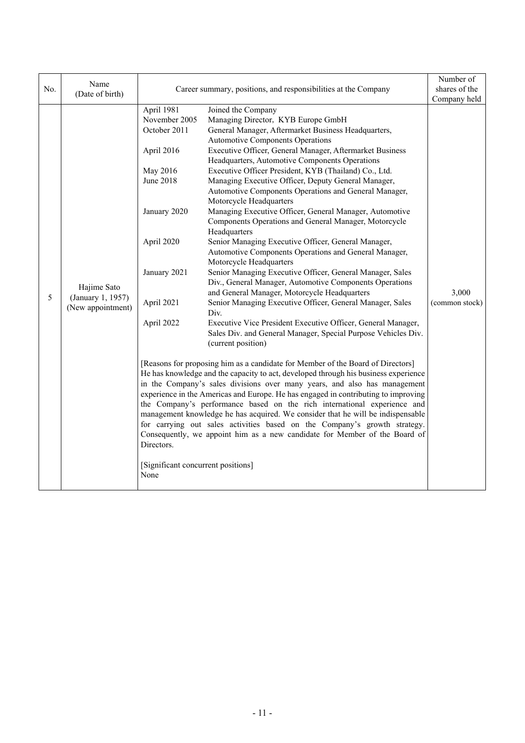| No. | Name<br>(Date of birth)                               |                                                                                                                                                                                                                                 | Career summary, positions, and responsibilities at the Company                                                                                                                                                                                                                                                                                                                                                                                                                                                                                                                                                                                                                                                                                                                                                                                                                                                                                                                                                                                                                                                                                                                                                                                                                                                                                                                                                                                                                                                                                                                                                                                                                                                                                                                                                                  | Number of<br>shares of the<br>Company held |
|-----|-------------------------------------------------------|---------------------------------------------------------------------------------------------------------------------------------------------------------------------------------------------------------------------------------|---------------------------------------------------------------------------------------------------------------------------------------------------------------------------------------------------------------------------------------------------------------------------------------------------------------------------------------------------------------------------------------------------------------------------------------------------------------------------------------------------------------------------------------------------------------------------------------------------------------------------------------------------------------------------------------------------------------------------------------------------------------------------------------------------------------------------------------------------------------------------------------------------------------------------------------------------------------------------------------------------------------------------------------------------------------------------------------------------------------------------------------------------------------------------------------------------------------------------------------------------------------------------------------------------------------------------------------------------------------------------------------------------------------------------------------------------------------------------------------------------------------------------------------------------------------------------------------------------------------------------------------------------------------------------------------------------------------------------------------------------------------------------------------------------------------------------------|--------------------------------------------|
| 5   | Hajime Sato<br>(January 1, 1957)<br>(New appointment) | April 1981<br>November 2005<br>October 2011<br>April 2016<br>May 2016<br><b>June 2018</b><br>January 2020<br>April 2020<br>January 2021<br>April 2021<br>April 2022<br>Directors.<br>[Significant concurrent positions]<br>None | Joined the Company<br>Managing Director, KYB Europe GmbH<br>General Manager, Aftermarket Business Headquarters,<br>Automotive Components Operations<br>Executive Officer, General Manager, Aftermarket Business<br>Headquarters, Automotive Components Operations<br>Executive Officer President, KYB (Thailand) Co., Ltd.<br>Managing Executive Officer, Deputy General Manager,<br>Automotive Components Operations and General Manager,<br>Motorcycle Headquarters<br>Managing Executive Officer, General Manager, Automotive<br>Components Operations and General Manager, Motorcycle<br>Headquarters<br>Senior Managing Executive Officer, General Manager,<br>Automotive Components Operations and General Manager,<br>Motorcycle Headquarters<br>Senior Managing Executive Officer, General Manager, Sales<br>Div., General Manager, Automotive Components Operations<br>and General Manager, Motorcycle Headquarters<br>Senior Managing Executive Officer, General Manager, Sales<br>Div.<br>Executive Vice President Executive Officer, General Manager,<br>Sales Div. and General Manager, Special Purpose Vehicles Div.<br>(current position)<br>[Reasons for proposing him as a candidate for Member of the Board of Directors]<br>He has knowledge and the capacity to act, developed through his business experience<br>in the Company's sales divisions over many years, and also has management<br>experience in the Americas and Europe. He has engaged in contributing to improving<br>the Company's performance based on the rich international experience and<br>management knowledge he has acquired. We consider that he will be indispensable<br>for carrying out sales activities based on the Company's growth strategy.<br>Consequently, we appoint him as a new candidate for Member of the Board of | 3,000<br>(common stock)                    |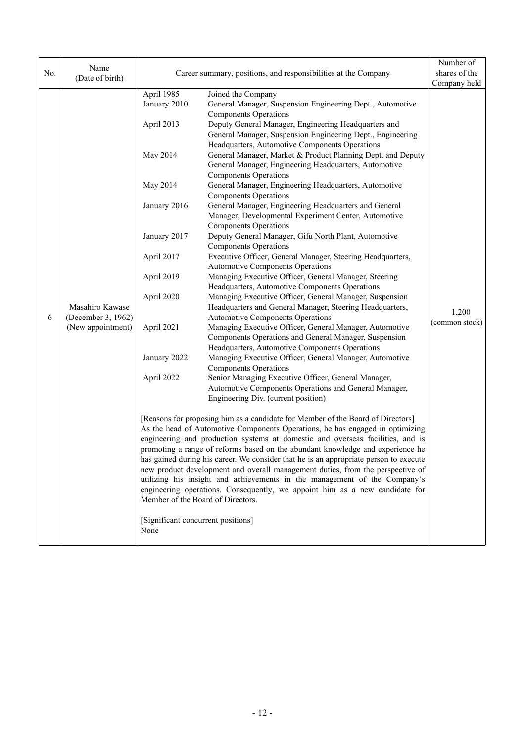|     | Name                                                       |                                                                               |                                                                                       | Number of                                                  |  |
|-----|------------------------------------------------------------|-------------------------------------------------------------------------------|---------------------------------------------------------------------------------------|------------------------------------------------------------|--|
| No. | (Date of birth)                                            |                                                                               | Career summary, positions, and responsibilities at the Company                        | shares of the                                              |  |
|     |                                                            |                                                                               |                                                                                       | Company held                                               |  |
|     |                                                            | April 1985                                                                    | Joined the Company                                                                    |                                                            |  |
|     |                                                            | January 2010                                                                  | General Manager, Suspension Engineering Dept., Automotive                             |                                                            |  |
|     |                                                            |                                                                               | <b>Components Operations</b>                                                          |                                                            |  |
|     |                                                            | April 2013                                                                    | Deputy General Manager, Engineering Headquarters and                                  |                                                            |  |
|     |                                                            |                                                                               |                                                                                       | General Manager, Suspension Engineering Dept., Engineering |  |
|     |                                                            |                                                                               | Headquarters, Automotive Components Operations                                        |                                                            |  |
|     |                                                            | May 2014                                                                      | General Manager, Market & Product Planning Dept. and Deputy                           |                                                            |  |
|     |                                                            |                                                                               | General Manager, Engineering Headquarters, Automotive                                 |                                                            |  |
|     |                                                            |                                                                               | <b>Components Operations</b>                                                          |                                                            |  |
|     |                                                            | May 2014                                                                      | General Manager, Engineering Headquarters, Automotive                                 |                                                            |  |
|     |                                                            |                                                                               | <b>Components Operations</b>                                                          |                                                            |  |
|     |                                                            | January 2016                                                                  | General Manager, Engineering Headquarters and General                                 |                                                            |  |
|     |                                                            |                                                                               | Manager, Developmental Experiment Center, Automotive                                  |                                                            |  |
|     |                                                            |                                                                               | <b>Components Operations</b>                                                          |                                                            |  |
|     |                                                            | January 2017                                                                  | Deputy General Manager, Gifu North Plant, Automotive                                  |                                                            |  |
|     | Masahiro Kawase<br>(December 3, 1962)<br>(New appointment) |                                                                               | <b>Components Operations</b>                                                          |                                                            |  |
|     |                                                            | April 2017                                                                    | Executive Officer, General Manager, Steering Headquarters,                            |                                                            |  |
|     |                                                            |                                                                               | <b>Automotive Components Operations</b>                                               |                                                            |  |
|     |                                                            | April 2019                                                                    | Managing Executive Officer, General Manager, Steering                                 |                                                            |  |
|     |                                                            |                                                                               | Headquarters, Automotive Components Operations                                        |                                                            |  |
|     |                                                            | April 2020                                                                    | Managing Executive Officer, General Manager, Suspension                               |                                                            |  |
|     |                                                            |                                                                               | Headquarters and General Manager, Steering Headquarters,                              | 1,200<br>(common stock)                                    |  |
| 6   |                                                            |                                                                               | <b>Automotive Components Operations</b>                                               |                                                            |  |
|     |                                                            | April 2021                                                                    | Managing Executive Officer, General Manager, Automotive                               |                                                            |  |
|     |                                                            |                                                                               | Components Operations and General Manager, Suspension                                 |                                                            |  |
|     |                                                            |                                                                               | Headquarters, Automotive Components Operations                                        |                                                            |  |
|     |                                                            | January 2022                                                                  | Managing Executive Officer, General Manager, Automotive                               |                                                            |  |
|     |                                                            |                                                                               | <b>Components Operations</b>                                                          |                                                            |  |
|     |                                                            | April 2022                                                                    | Senior Managing Executive Officer, General Manager,                                   |                                                            |  |
|     |                                                            |                                                                               | Automotive Components Operations and General Manager,                                 |                                                            |  |
|     |                                                            |                                                                               | Engineering Div. (current position)                                                   |                                                            |  |
|     |                                                            |                                                                               |                                                                                       |                                                            |  |
|     |                                                            |                                                                               | [Reasons for proposing him as a candidate for Member of the Board of Directors]       |                                                            |  |
|     |                                                            | As the head of Automotive Components Operations, he has engaged in optimizing |                                                                                       |                                                            |  |
|     |                                                            |                                                                               | engineering and production systems at domestic and overseas facilities, and is        |                                                            |  |
|     |                                                            |                                                                               | promoting a range of reforms based on the abundant knowledge and experience he        |                                                            |  |
|     |                                                            |                                                                               | has gained during his career. We consider that he is an appropriate person to execute |                                                            |  |
|     |                                                            |                                                                               | new product development and overall management duties, from the perspective of        |                                                            |  |
|     |                                                            |                                                                               | utilizing his insight and achievements in the management of the Company's             |                                                            |  |
|     |                                                            |                                                                               | engineering operations. Consequently, we appoint him as a new candidate for           |                                                            |  |
|     |                                                            | Member of the Board of Directors.                                             |                                                                                       |                                                            |  |
|     |                                                            | [Significant concurrent positions]                                            |                                                                                       |                                                            |  |
|     |                                                            | None                                                                          |                                                                                       |                                                            |  |
|     |                                                            |                                                                               |                                                                                       |                                                            |  |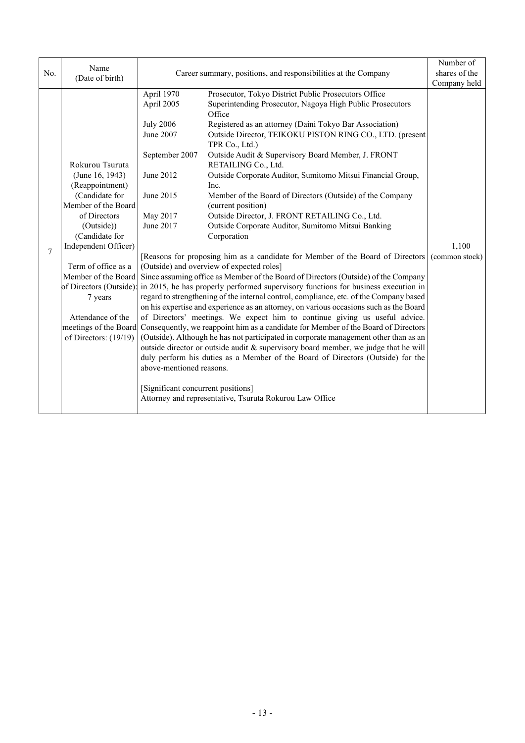|     | Name                                           |                                    |                                                                                                                                                                            | Number of      |
|-----|------------------------------------------------|------------------------------------|----------------------------------------------------------------------------------------------------------------------------------------------------------------------------|----------------|
| No. | (Date of birth)                                |                                    | Career summary, positions, and responsibilities at the Company                                                                                                             | shares of the  |
|     |                                                | April 1970                         | Prosecutor, Tokyo District Public Prosecutors Office                                                                                                                       | Company held   |
|     |                                                | April 2005                         | Superintending Prosecutor, Nagoya High Public Prosecutors                                                                                                                  |                |
|     |                                                |                                    | Office                                                                                                                                                                     |                |
|     |                                                | <b>July 2006</b>                   | Registered as an attorney (Daini Tokyo Bar Association)                                                                                                                    |                |
|     |                                                | June 2007                          | Outside Director, TEIKOKU PISTON RING CO., LTD. (present                                                                                                                   |                |
|     |                                                |                                    | TPR Co., Ltd.)                                                                                                                                                             |                |
|     |                                                | September 2007                     | Outside Audit & Supervisory Board Member, J. FRONT                                                                                                                         |                |
|     | Rokurou Tsuruta                                |                                    | RETAILING Co., Ltd.                                                                                                                                                        |                |
|     | (June 16, 1943)                                | June 2012                          | Outside Corporate Auditor, Sumitomo Mitsui Financial Group,                                                                                                                |                |
|     | (Reappointment)                                |                                    | Inc.                                                                                                                                                                       |                |
|     | (Candidate for<br>Member of the Board          | June 2015                          | Member of the Board of Directors (Outside) of the Company<br>(current position)                                                                                            |                |
|     | of Directors                                   | May 2017                           | Outside Director, J. FRONT RETAILING Co., Ltd.                                                                                                                             |                |
|     | (Outside))                                     | June 2017                          | Outside Corporate Auditor, Sumitomo Mitsui Banking                                                                                                                         |                |
|     | (Candidate for                                 |                                    | Corporation                                                                                                                                                                |                |
|     | Independent Officer)                           |                                    |                                                                                                                                                                            | 1,100          |
| 7   |                                                |                                    | [Reasons for proposing him as a candidate for Member of the Board of Directors                                                                                             | (common stock) |
|     | Term of office as a                            |                                    | (Outside) and overview of expected roles]                                                                                                                                  |                |
|     | Member of the Board                            |                                    | Since assuming office as Member of the Board of Directors (Outside) of the Company                                                                                         |                |
|     | of Directors (Outside):                        |                                    | in 2015, he has properly performed supervisory functions for business execution in                                                                                         |                |
|     | 7 years                                        |                                    | regard to strengthening of the internal control, compliance, etc. of the Company based                                                                                     |                |
|     |                                                |                                    | on his expertise and experience as an attorney, on various occasions such as the Board                                                                                     |                |
|     | Attendance of the                              |                                    | of Directors' meetings. We expect him to continue giving us useful advice.                                                                                                 |                |
|     | meetings of the Board<br>of Directors: (19/19) |                                    | Consequently, we reappoint him as a candidate for Member of the Board of Directors<br>(Outside). Although he has not participated in corporate management other than as an |                |
|     |                                                |                                    | outside director or outside audit & supervisory board member, we judge that he will                                                                                        |                |
|     |                                                |                                    | duly perform his duties as a Member of the Board of Directors (Outside) for the                                                                                            |                |
|     |                                                | above-mentioned reasons.           |                                                                                                                                                                            |                |
|     |                                                |                                    |                                                                                                                                                                            |                |
|     |                                                | [Significant concurrent positions] |                                                                                                                                                                            |                |
|     |                                                |                                    | Attorney and representative, Tsuruta Rokurou Law Office                                                                                                                    |                |
|     |                                                |                                    |                                                                                                                                                                            |                |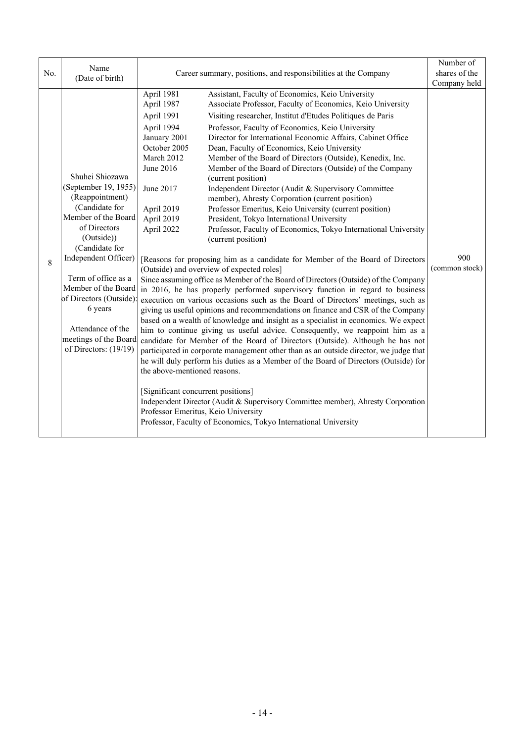| No. | Name<br>(Date of birth)                                                                                                                                                                                                                                                                                                                | Career summary, positions, and responsibilities at the Company                                                                                                                                                                                                                                                                                                                                                                                                                                                                                                                                                                                                                                                                                                                                                                                                                                                                                                                                                                                                                                                                                                                                                                                                                                                                                                                                                                                                                                                                                                                                                                                                                                                                                                                                                                                                                                                                                                                                                                                                                                                                                                             | Number of<br>shares of the<br>Company held |
|-----|----------------------------------------------------------------------------------------------------------------------------------------------------------------------------------------------------------------------------------------------------------------------------------------------------------------------------------------|----------------------------------------------------------------------------------------------------------------------------------------------------------------------------------------------------------------------------------------------------------------------------------------------------------------------------------------------------------------------------------------------------------------------------------------------------------------------------------------------------------------------------------------------------------------------------------------------------------------------------------------------------------------------------------------------------------------------------------------------------------------------------------------------------------------------------------------------------------------------------------------------------------------------------------------------------------------------------------------------------------------------------------------------------------------------------------------------------------------------------------------------------------------------------------------------------------------------------------------------------------------------------------------------------------------------------------------------------------------------------------------------------------------------------------------------------------------------------------------------------------------------------------------------------------------------------------------------------------------------------------------------------------------------------------------------------------------------------------------------------------------------------------------------------------------------------------------------------------------------------------------------------------------------------------------------------------------------------------------------------------------------------------------------------------------------------------------------------------------------------------------------------------------------------|--------------------------------------------|
| 8   | Shuhei Shiozawa<br>(September 19, 1955)<br>(Reappointment)<br>(Candidate for<br>Member of the Board<br>of Directors<br>(Outside))<br>(Candidate for<br>Independent Officer)<br>Term of office as a<br>Member of the Board<br>of Directors (Outside):<br>6 years<br>Attendance of the<br>meetings of the Board<br>of Directors: (19/19) | Assistant, Faculty of Economics, Keio University<br>April 1981<br>April 1987<br>Associate Professor, Faculty of Economics, Keio University<br>April 1991<br>Visiting researcher, Institut d'Etudes Politiques de Paris<br>April 1994<br>Professor, Faculty of Economics, Keio University<br>January 2001<br>Director for International Economic Affairs, Cabinet Office<br>October 2005<br>Dean, Faculty of Economics, Keio University<br>March 2012<br>Member of the Board of Directors (Outside), Kenedix, Inc.<br>June 2016<br>Member of the Board of Directors (Outside) of the Company<br>(current position)<br>June 2017<br>Independent Director (Audit & Supervisory Committee<br>member), Ahresty Corporation (current position)<br>April 2019<br>Professor Emeritus, Keio University (current position)<br>April 2019<br>President, Tokyo International University<br>April 2022<br>Professor, Faculty of Economics, Tokyo International University<br>(current position)<br>[Reasons for proposing him as a candidate for Member of the Board of Directors<br>(Outside) and overview of expected roles]<br>Since assuming office as Member of the Board of Directors (Outside) of the Company<br>in 2016, he has properly performed supervisory function in regard to business<br>execution on various occasions such as the Board of Directors' meetings, such as<br>giving us useful opinions and recommendations on finance and CSR of the Company<br>based on a wealth of knowledge and insight as a specialist in economics. We expect<br>him to continue giving us useful advice. Consequently, we reappoint him as a<br>candidate for Member of the Board of Directors (Outside). Although he has not<br>participated in corporate management other than as an outside director, we judge that<br>he will duly perform his duties as a Member of the Board of Directors (Outside) for<br>the above-mentioned reasons.<br>[Significant concurrent positions]<br>Independent Director (Audit & Supervisory Committee member), Ahresty Corporation<br>Professor Emeritus, Keio University<br>Professor, Faculty of Economics, Tokyo International University | 900<br>(common stock)                      |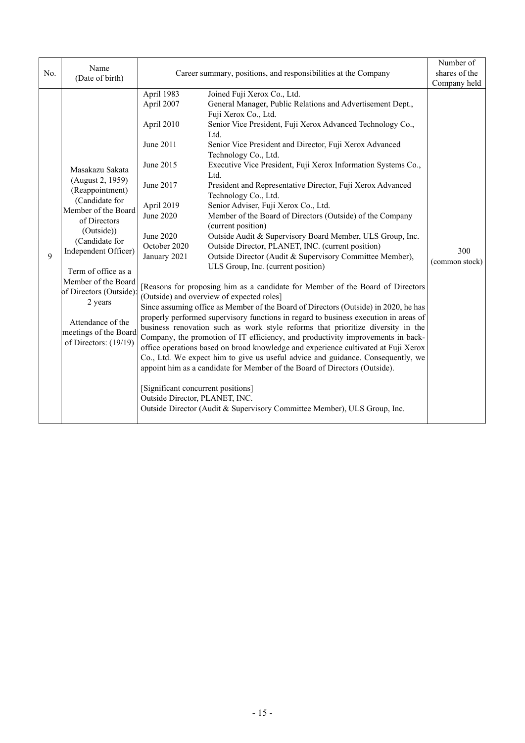| No. | Name<br>(Date of birth)                                                                                                                                                                                                                                                                                                            |                                                                                                                                                                                                                               | Career summary, positions, and responsibilities at the Company                                                                                                                                                                                                                                                                                                                                                                                                                                                                                                                                                                                                                                                                                                                                                                                                                                                                                                                                                                                                                                                                                                                                                                                                                                                                                                                                                                                                                                                                                                                                                 | Number of<br>shares of the<br>Company held |
|-----|------------------------------------------------------------------------------------------------------------------------------------------------------------------------------------------------------------------------------------------------------------------------------------------------------------------------------------|-------------------------------------------------------------------------------------------------------------------------------------------------------------------------------------------------------------------------------|----------------------------------------------------------------------------------------------------------------------------------------------------------------------------------------------------------------------------------------------------------------------------------------------------------------------------------------------------------------------------------------------------------------------------------------------------------------------------------------------------------------------------------------------------------------------------------------------------------------------------------------------------------------------------------------------------------------------------------------------------------------------------------------------------------------------------------------------------------------------------------------------------------------------------------------------------------------------------------------------------------------------------------------------------------------------------------------------------------------------------------------------------------------------------------------------------------------------------------------------------------------------------------------------------------------------------------------------------------------------------------------------------------------------------------------------------------------------------------------------------------------------------------------------------------------------------------------------------------------|--------------------------------------------|
| 9   | Masakazu Sakata<br>(August 2, 1959)<br>(Reappointment)<br>(Candidate for<br>Member of the Board<br>of Directors<br>(Outside))<br>(Candidate for<br>Independent Officer)<br>Term of office as a<br>Member of the Board<br>of Directors (Outside):<br>2 years<br>Attendance of the<br>meetings of the Board<br>of Directors: (19/19) | April 1983<br>April 2007<br>April 2010<br>June 2011<br>June 2015<br>June 2017<br>April 2019<br>June 2020<br>June 2020<br>October 2020<br>January 2021<br>[Significant concurrent positions]<br>Outside Director, PLANET, INC. | Joined Fuji Xerox Co., Ltd.<br>General Manager, Public Relations and Advertisement Dept.,<br>Fuji Xerox Co., Ltd.<br>Senior Vice President, Fuji Xerox Advanced Technology Co.,<br>Ltd.<br>Senior Vice President and Director, Fuji Xerox Advanced<br>Technology Co., Ltd.<br>Executive Vice President, Fuji Xerox Information Systems Co.,<br>Ltd.<br>President and Representative Director, Fuji Xerox Advanced<br>Technology Co., Ltd.<br>Senior Adviser, Fuji Xerox Co., Ltd.<br>Member of the Board of Directors (Outside) of the Company<br>(current position)<br>Outside Audit & Supervisory Board Member, ULS Group, Inc.<br>Outside Director, PLANET, INC. (current position)<br>Outside Director (Audit & Supervisory Committee Member),<br>ULS Group, Inc. (current position)<br>Reasons for proposing him as a candidate for Member of the Board of Directors<br>(Outside) and overview of expected roles]<br>Since assuming office as Member of the Board of Directors (Outside) in 2020, he has<br>properly performed supervisory functions in regard to business execution in areas of<br>business renovation such as work style reforms that prioritize diversity in the<br>Company, the promotion of IT efficiency, and productivity improvements in back-<br>office operations based on broad knowledge and experience cultivated at Fuji Xerox<br>Co., Ltd. We expect him to give us useful advice and guidance. Consequently, we<br>appoint him as a candidate for Member of the Board of Directors (Outside).<br>Outside Director (Audit & Supervisory Committee Member), ULS Group, Inc. | 300<br>(common stock)                      |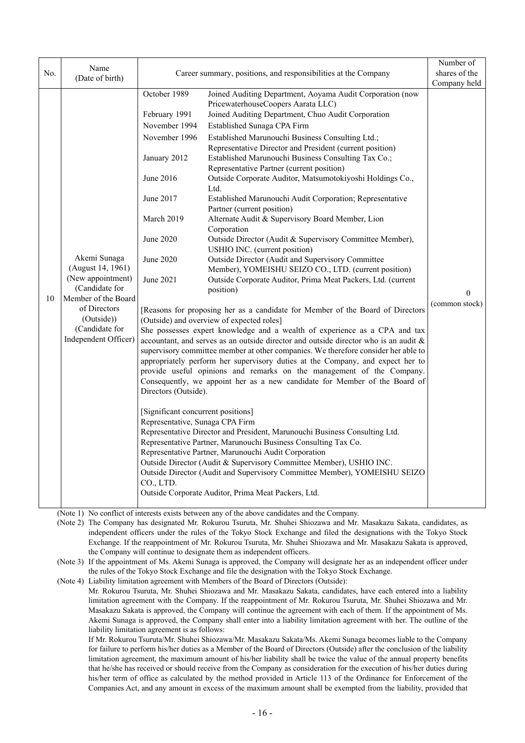| No. | Name<br>(Date of birth)                                                                                                                                                 |                                                                                                                                                                                                                                                                              | Career summary, positions, and responsibilities at the Company                                                                                                                                                                                                                                                                                                                                                                                                                                                                                                                                                                                                                                                                                                                                                                                                                                                                                                                                                                                                                                                                                                                                                                                                                                                                                                                                                                                                                                                                                                                                                                                                                                                                                                                                                                                                                                                                                                                           | Number of<br>shares of the<br>Company held |
|-----|-------------------------------------------------------------------------------------------------------------------------------------------------------------------------|------------------------------------------------------------------------------------------------------------------------------------------------------------------------------------------------------------------------------------------------------------------------------|------------------------------------------------------------------------------------------------------------------------------------------------------------------------------------------------------------------------------------------------------------------------------------------------------------------------------------------------------------------------------------------------------------------------------------------------------------------------------------------------------------------------------------------------------------------------------------------------------------------------------------------------------------------------------------------------------------------------------------------------------------------------------------------------------------------------------------------------------------------------------------------------------------------------------------------------------------------------------------------------------------------------------------------------------------------------------------------------------------------------------------------------------------------------------------------------------------------------------------------------------------------------------------------------------------------------------------------------------------------------------------------------------------------------------------------------------------------------------------------------------------------------------------------------------------------------------------------------------------------------------------------------------------------------------------------------------------------------------------------------------------------------------------------------------------------------------------------------------------------------------------------------------------------------------------------------------------------------------------------|--------------------------------------------|
| 10  | Akemi Sunaga<br>(August 14, 1961)<br>(New appointment)<br>(Candidate for<br>Member of the Board<br>of Directors<br>(Outside))<br>(Candidate for<br>Independent Officer) | October 1989<br>February 1991<br>November 1994<br>November 1996<br>January 2012<br>June 2016<br>June 2017<br>March 2019<br>June 2020<br>June 2020<br>June 2021<br>Directors (Outside).<br>[Significant concurrent positions]<br>Representative, Sunaga CPA Firm<br>CO., LTD. | Joined Auditing Department, Aoyama Audit Corporation (now<br>PricewaterhouseCoopers Aarata LLC)<br>Joined Auditing Department, Chuo Audit Corporation<br>Established Sunaga CPA Firm<br>Established Marunouchi Business Consulting Ltd.;<br>Representative Director and President (current position)<br>Established Marunouchi Business Consulting Tax Co.;<br>Representative Partner (current position)<br>Outside Corporate Auditor, Matsumotokiyoshi Holdings Co.,<br>Ltd.<br>Established Marunouchi Audit Corporation; Representative<br>Partner (current position)<br>Alternate Audit & Supervisory Board Member, Lion<br>Corporation<br>Outside Director (Audit & Supervisory Committee Member),<br>USHIO INC. (current position)<br>Outside Director (Audit and Supervisory Committee<br>Member), YOMEISHU SEIZO CO., LTD. (current position)<br>Outside Corporate Auditor, Prima Meat Packers, Ltd. (current<br>position)<br>[Reasons for proposing her as a candidate for Member of the Board of Directors<br>(Outside) and overview of expected roles]<br>She possesses expert knowledge and a wealth of experience as a CPA and tax<br>accountant, and serves as an outside director and outside director who is an audit &<br>supervisory committee member at other companies. We therefore consider her able to<br>appropriately perform her supervisory duties at the Company, and expect her to<br>provide useful opinions and remarks on the management of the Company.<br>Consequently, we appoint her as a new candidate for Member of the Board of<br>Representative Director and President, Marunouchi Business Consulting Ltd.<br>Representative Partner, Marunouchi Business Consulting Tax Co.<br>Representative Partner, Marunouchi Audit Corporation<br>Outside Director (Audit & Supervisory Committee Member), USHIO INC.<br>Outside Director (Audit and Supervisory Committee Member), YOMEISHU SEIZO<br>Outside Corporate Auditor, Prima Meat Packers, Ltd. | $\Omega$<br>(common stock)                 |

(Note 1) No conflict of interests exists between any of the above candidates and the Company.

(Note 2) The Company has designated Mr. Rokurou Tsuruta, Mr. Shuhei Shiozawa and Mr. Masakazu Sakata, candidates, as independent officers under the rules of the Tokyo Stock Exchange and filed the designations with the Tokyo Stock Exchange. If the reappointment of Mr. Rokurou Tsuruta, Mr. Shuhei Shiozawa and Mr. Masakazu Sakata is approved, the Company will continue to designate them as independent officers.

(Note 3) If the appointment of Ms. Akemi Sunaga is approved, the Company will designate her as an independent officer under the rules of the Tokyo Stock Exchange and file the designation with the Tokyo Stock Exchange.

(Note 4) Liability limitation agreement with Members of the Board of Directors (Outside):

 Mr. Rokurou Tsuruta, Mr. Shuhei Shiozawa and Mr. Masakazu Sakata, candidates, have each entered into a liability limitation agreement with the Company. If the reappointment of Mr. Rokurou Tsuruta, Mr. Shuhei Shiozawa and Mr. Masakazu Sakata is approved, the Company will continue the agreement with each of them. If the appointment of Ms. Akemi Sunaga is approved, the Company shall enter into a liability limitation agreement with her. The outline of the liability limitation agreement is as follows:

 If Mr. Rokurou Tsuruta/Mr. Shuhei Shiozawa/Mr. Masakazu Sakata/Ms. Akemi Sunaga becomes liable to the Company for failure to perform his/her duties as a Member of the Board of Directors (Outside) after the conclusion of the liability limitation agreement, the maximum amount of his/her liability shall be twice the value of the annual property benefits that he/she has received or should receive from the Company as consideration for the execution of his/her duties during his/her term of office as calculated by the method provided in Article 113 of the Ordinance for Enforcement of the Companies Act, and any amount in excess of the maximum amount shall be exempted from the liability, provided that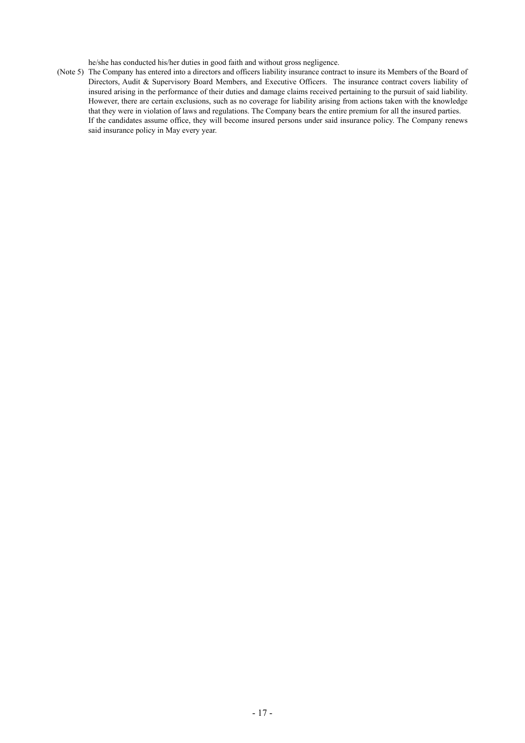he/she has conducted his/her duties in good faith and without gross negligence.

(Note 5) The Company has entered into a directors and officers liability insurance contract to insure its Members of the Board of Directors, Audit & Supervisory Board Members, and Executive Officers. The insurance contract covers liability of insured arising in the performance of their duties and damage claims received pertaining to the pursuit of said liability. However, there are certain exclusions, such as no coverage for liability arising from actions taken with the knowledge that they were in violation of laws and regulations. The Company bears the entire premium for all the insured parties. If the candidates assume office, they will become insured persons under said insurance policy. The Company renews said insurance policy in May every year.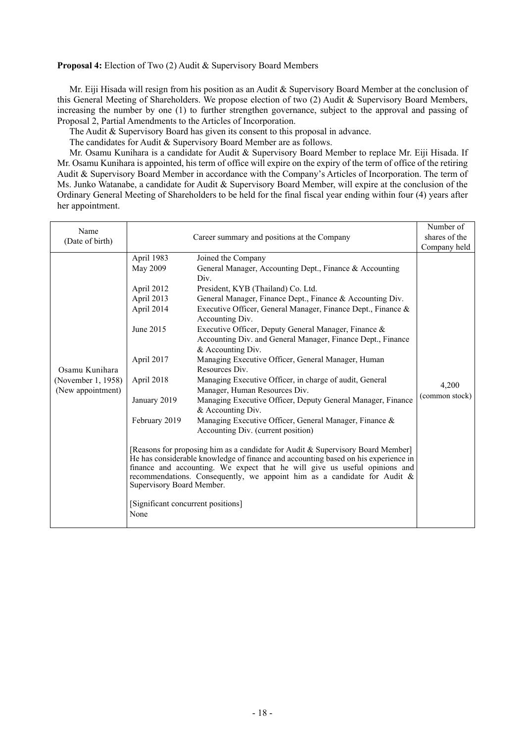**Proposal 4:** Election of Two (2) Audit & Supervisory Board Members

Mr. Eiji Hisada will resign from his position as an Audit & Supervisory Board Member at the conclusion of this General Meeting of Shareholders. We propose election of two (2) Audit & Supervisory Board Members, increasing the number by one (1) to further strengthen governance, subject to the approval and passing of Proposal 2, Partial Amendments to the Articles of Incorporation.

The Audit & Supervisory Board has given its consent to this proposal in advance.

The candidates for Audit & Supervisory Board Member are as follows.

Mr. Osamu Kunihara is a candidate for Audit & Supervisory Board Member to replace Mr. Eiji Hisada. If Mr. Osamu Kunihara is appointed, his term of office will expire on the expiry of the term of office of the retiring Audit & Supervisory Board Member in accordance with the Company's Articles of Incorporation. The term of Ms. Junko Watanabe, a candidate for Audit & Supervisory Board Member, will expire at the conclusion of the Ordinary General Meeting of Shareholders to be held for the final fiscal year ending within four (4) years after her appointment.

| Name<br>(Date of birth)                                   |                                                                                                                                                                                                                       | Career summary and positions at the Company                                                                                                                                                                                                                                                                                                                                                                                                                                                                                                                                                                                                                                                                                                                                                                                                                                                                                                                                                                                                                                                                           | Number of<br>shares of the<br>Company held |
|-----------------------------------------------------------|-----------------------------------------------------------------------------------------------------------------------------------------------------------------------------------------------------------------------|-----------------------------------------------------------------------------------------------------------------------------------------------------------------------------------------------------------------------------------------------------------------------------------------------------------------------------------------------------------------------------------------------------------------------------------------------------------------------------------------------------------------------------------------------------------------------------------------------------------------------------------------------------------------------------------------------------------------------------------------------------------------------------------------------------------------------------------------------------------------------------------------------------------------------------------------------------------------------------------------------------------------------------------------------------------------------------------------------------------------------|--------------------------------------------|
| Osamu Kunihara<br>(November 1, 1958)<br>(New appointment) | April 1983<br>May 2009<br>April 2012<br>April 2013<br>April 2014<br>June 2015<br>April 2017<br>April 2018<br>January 2019<br>February 2019<br>Supervisory Board Member.<br>[Significant concurrent positions]<br>None | Joined the Company<br>General Manager, Accounting Dept., Finance & Accounting<br>Div.<br>President, KYB (Thailand) Co. Ltd.<br>General Manager, Finance Dept., Finance & Accounting Div.<br>Executive Officer, General Manager, Finance Dept., Finance &<br>Accounting Div.<br>Executive Officer, Deputy General Manager, Finance &<br>Accounting Div. and General Manager, Finance Dept., Finance<br>& Accounting Div.<br>Managing Executive Officer, General Manager, Human<br>Resources Div.<br>Managing Executive Officer, in charge of audit, General<br>Manager, Human Resources Div.<br>Managing Executive Officer, Deputy General Manager, Finance<br>& Accounting Div.<br>Managing Executive Officer, General Manager, Finance &<br>Accounting Div. (current position)<br>[Reasons for proposing him as a candidate for Audit & Supervisory Board Member]<br>He has considerable knowledge of finance and accounting based on his experience in<br>finance and accounting. We expect that he will give us useful opinions and<br>recommendations. Consequently, we appoint him as a candidate for Audit $\&$ | 4,200<br>(common stock)                    |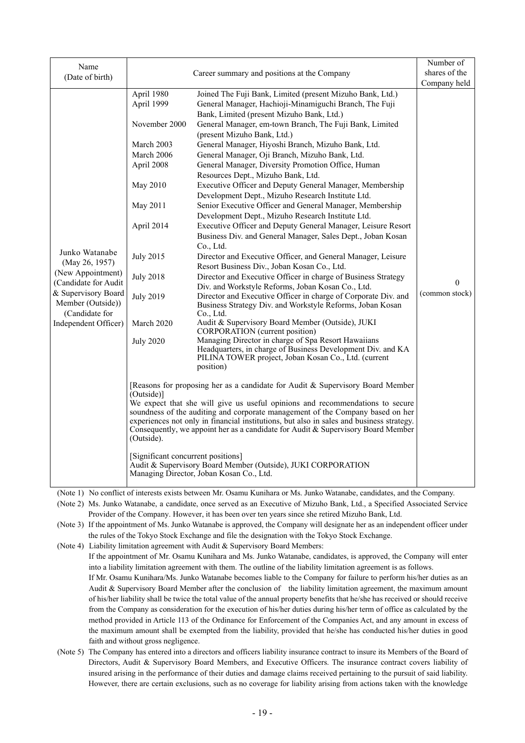|                                           |                                                                                                |                                                                                                                                                                            | Number of                  |
|-------------------------------------------|------------------------------------------------------------------------------------------------|----------------------------------------------------------------------------------------------------------------------------------------------------------------------------|----------------------------|
| Name                                      | Career summary and positions at the Company                                                    |                                                                                                                                                                            | shares of the              |
| (Date of birth)                           |                                                                                                |                                                                                                                                                                            | Company held               |
|                                           | April 1980                                                                                     | Joined The Fuji Bank, Limited (present Mizuho Bank, Ltd.)                                                                                                                  |                            |
|                                           | April 1999                                                                                     | General Manager, Hachioji-Minamiguchi Branch, The Fuji                                                                                                                     |                            |
|                                           |                                                                                                | Bank, Limited (present Mizuho Bank, Ltd.)                                                                                                                                  |                            |
|                                           | November 2000                                                                                  | General Manager, em-town Branch, The Fuji Bank, Limited                                                                                                                    |                            |
|                                           |                                                                                                | (present Mizuho Bank, Ltd.)                                                                                                                                                |                            |
|                                           | March 2003                                                                                     | General Manager, Hiyoshi Branch, Mizuho Bank, Ltd.                                                                                                                         |                            |
|                                           | March 2006                                                                                     | General Manager, Oji Branch, Mizuho Bank, Ltd.                                                                                                                             |                            |
|                                           | April 2008                                                                                     | General Manager, Diversity Promotion Office, Human                                                                                                                         |                            |
|                                           |                                                                                                | Resources Dept., Mizuho Bank, Ltd.                                                                                                                                         |                            |
|                                           | May 2010                                                                                       | Executive Officer and Deputy General Manager, Membership                                                                                                                   |                            |
|                                           |                                                                                                | Development Dept., Mizuho Research Institute Ltd.                                                                                                                          |                            |
|                                           | May 2011                                                                                       | Senior Executive Officer and General Manager, Membership                                                                                                                   |                            |
|                                           |                                                                                                | Development Dept., Mizuho Research Institute Ltd.                                                                                                                          |                            |
|                                           | April 2014                                                                                     | Executive Officer and Deputy General Manager, Leisure Resort                                                                                                               |                            |
|                                           |                                                                                                | Business Div. and General Manager, Sales Dept., Joban Kosan                                                                                                                |                            |
|                                           |                                                                                                | Co., Ltd.                                                                                                                                                                  |                            |
| Junko Watanabe                            | <b>July 2015</b>                                                                               | Director and Executive Officer, and General Manager, Leisure                                                                                                               |                            |
| (May 26, 1957)                            |                                                                                                | Resort Business Div., Joban Kosan Co., Ltd.                                                                                                                                |                            |
| (New Appointment)<br>(Candidate for Audit | <b>July 2018</b>                                                                               | Director and Executive Officer in charge of Business Strategy                                                                                                              |                            |
| & Supervisory Board                       |                                                                                                | Div. and Workstyle Reforms, Joban Kosan Co., Ltd.                                                                                                                          | $\theta$<br>(common stock) |
| Member (Outside))                         | <b>July 2019</b>                                                                               | Director and Executive Officer in charge of Corporate Div. and                                                                                                             |                            |
| (Candidate for                            |                                                                                                | Business Strategy Div. and Workstyle Reforms, Joban Kosan<br>Co., Ltd.                                                                                                     |                            |
| Independent Officer)                      | March 2020                                                                                     | Audit & Supervisory Board Member (Outside), JUKI                                                                                                                           |                            |
|                                           |                                                                                                | <b>CORPORATION</b> (current position)                                                                                                                                      |                            |
|                                           | <b>July 2020</b>                                                                               | Managing Director in charge of Spa Resort Hawaiians                                                                                                                        |                            |
|                                           |                                                                                                | Headquarters, in charge of Business Development Div. and KA                                                                                                                |                            |
|                                           |                                                                                                | PILINA TOWER project, Joban Kosan Co., Ltd. (current                                                                                                                       |                            |
|                                           |                                                                                                | position)                                                                                                                                                                  |                            |
|                                           |                                                                                                | [Reasons for proposing her as a candidate for Audit & Supervisory Board Member                                                                                             |                            |
|                                           | (Outside)]                                                                                     |                                                                                                                                                                            |                            |
|                                           | We expect that she will give us useful opinions and recommendations to secure                  |                                                                                                                                                                            |                            |
|                                           |                                                                                                | soundness of the auditing and corporate management of the Company based on her<br>experiences not only in financial institutions, but also in sales and business strategy. |                            |
|                                           |                                                                                                |                                                                                                                                                                            |                            |
|                                           | Consequently, we appoint her as a candidate for Audit & Supervisory Board Member<br>(Outside). |                                                                                                                                                                            |                            |
|                                           |                                                                                                |                                                                                                                                                                            |                            |
|                                           | [Significant concurrent positions]                                                             |                                                                                                                                                                            |                            |
|                                           |                                                                                                | Audit & Supervisory Board Member (Outside), JUKI CORPORATION                                                                                                               |                            |
|                                           |                                                                                                | Managing Director, Joban Kosan Co., Ltd.                                                                                                                                   |                            |
|                                           |                                                                                                |                                                                                                                                                                            |                            |

(Note 1) No conflict of interests exists between Mr. Osamu Kunihara or Ms. Junko Watanabe, candidates, and the Company.

(Note 2) Ms. Junko Watanabe, a candidate, once served as an Executive of Mizuho Bank, Ltd., a Specified Associated Service Provider of the Company. However, it has been over ten years since she retired Mizuho Bank, Ltd.

(Note 3) If the appointment of Ms. Junko Watanabe is approved, the Company will designate her as an independent officer under the rules of the Tokyo Stock Exchange and file the designation with the Tokyo Stock Exchange.

(Note 4) Liability limitation agreement with Audit & Supervisory Board Members:

If the appointment of Mr. Osamu Kunihara and Ms. Junko Watanabe, candidates, is approved, the Company will enter into a liability limitation agreement with them. The outline of the liability limitation agreement is as follows.

If Mr. Osamu Kunihara/Ms. Junko Watanabe becomes liable to the Company for failure to perform his/her duties as an Audit & Supervisory Board Member after the conclusion of the liability limitation agreement, the maximum amount of his/her liability shall be twice the total value of the annual property benefits that he/she has received or should receive from the Company as consideration for the execution of his/her duties during his/her term of office as calculated by the method provided in Article 113 of the Ordinance for Enforcement of the Companies Act, and any amount in excess of the maximum amount shall be exempted from the liability, provided that he/she has conducted his/her duties in good faith and without gross negligence.

(Note 5) The Company has entered into a directors and officers liability insurance contract to insure its Members of the Board of Directors, Audit & Supervisory Board Members, and Executive Officers. The insurance contract covers liability of insured arising in the performance of their duties and damage claims received pertaining to the pursuit of said liability. However, there are certain exclusions, such as no coverage for liability arising from actions taken with the knowledge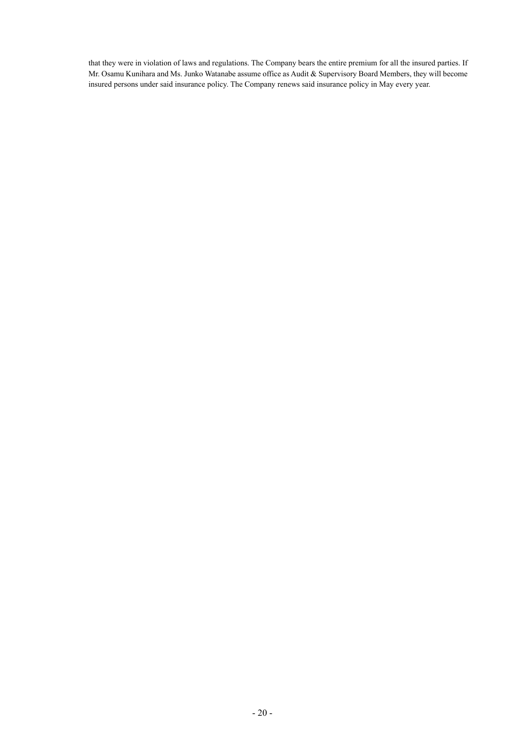that they were in violation of laws and regulations. The Company bears the entire premium for all the insured parties. If Mr. Osamu Kunihara and Ms. Junko Watanabe assume office as Audit & Supervisory Board Members, they will become insured persons under said insurance policy. The Company renews said insurance policy in May every year.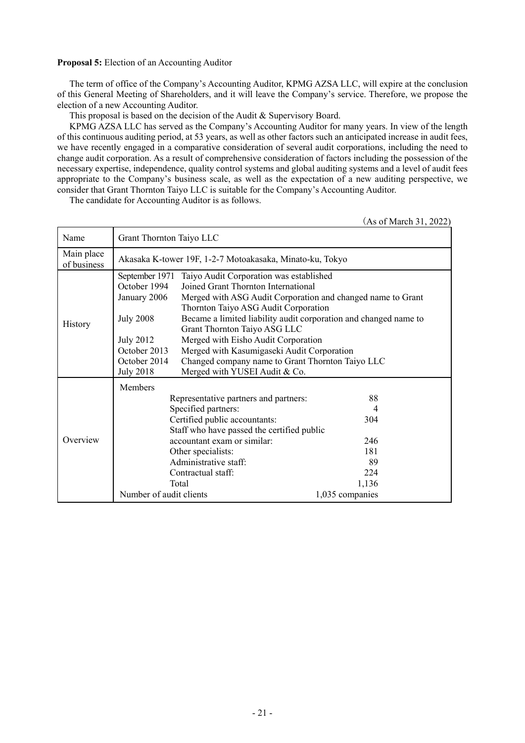# **Proposal 5:** Election of an Accounting Auditor

The term of office of the Company's Accounting Auditor, KPMG AZSA LLC, will expire at the conclusion of this General Meeting of Shareholders, and it will leave the Company's service. Therefore, we propose the election of a new Accounting Auditor.

This proposal is based on the decision of the Audit & Supervisory Board.

KPMG AZSA LLC has served as the Company's Accounting Auditor for many years. In view of the length of this continuous auditing period, at 53 years, as well as other factors such an anticipated increase in audit fees, we have recently engaged in a comparative consideration of several audit corporations, including the need to change audit corporation. As a result of comprehensive consideration of factors including the possession of the necessary expertise, independence, quality control systems and global auditing systems and a level of audit fees appropriate to the Company's business scale, as well as the expectation of a new auditing perspective, we consider that Grant Thornton Taiyo LLC is suitable for the Company's Accounting Auditor.

The candidate for Accounting Auditor is as follows.

(As of March 31, 2022)

| Name                      | Grant Thornton Taiyo LLC                                 |                                                                  |                 |
|---------------------------|----------------------------------------------------------|------------------------------------------------------------------|-----------------|
| Main place<br>of business | Akasaka K-tower 19F, 1-2-7 Motoakasaka, Minato-ku, Tokyo |                                                                  |                 |
|                           | September 1971                                           | Taiyo Audit Corporation was established                          |                 |
|                           | October 1994                                             | Joined Grant Thornton International                              |                 |
|                           | January 2006                                             | Merged with ASG Audit Corporation and changed name to Grant      |                 |
|                           |                                                          | Thornton Taiyo ASG Audit Corporation                             |                 |
|                           | <b>July 2008</b>                                         | Became a limited liability audit corporation and changed name to |                 |
| <b>History</b>            |                                                          | Grant Thornton Taiyo ASG LLC                                     |                 |
|                           | <b>July 2012</b>                                         | Merged with Eisho Audit Corporation                              |                 |
|                           | October 2013                                             | Merged with Kasumigaseki Audit Corporation                       |                 |
|                           | October 2014                                             | Changed company name to Grant Thornton Taiyo LLC                 |                 |
|                           | <b>July 2018</b>                                         | Merged with YUSEI Audit & Co.                                    |                 |
|                           | Members                                                  |                                                                  |                 |
|                           |                                                          | Representative partners and partners:                            | 88              |
|                           |                                                          | Specified partners:                                              | 4               |
|                           |                                                          | Certified public accountants:                                    | 304             |
|                           | Staff who have passed the certified public               |                                                                  |                 |
| Overview                  | accountant exam or similar:                              |                                                                  | 246             |
|                           | Other specialists:                                       |                                                                  | 181             |
|                           | Administrative staff:                                    |                                                                  | 89              |
|                           |                                                          | Contractual staff:                                               | 224             |
|                           |                                                          | Total                                                            | 1,136           |
|                           | Number of audit clients                                  |                                                                  | 1,035 companies |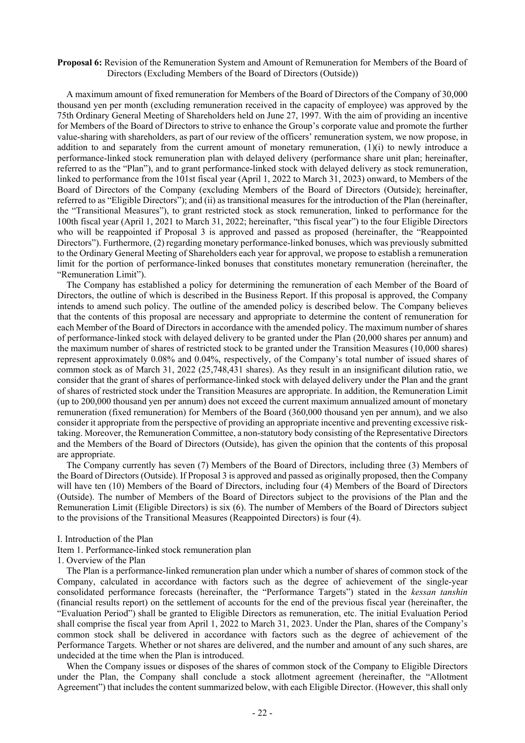#### **Proposal 6:** Revision of the Remuneration System and Amount of Remuneration for Members of the Board of Directors (Excluding Members of the Board of Directors (Outside))

A maximum amount of fixed remuneration for Members of the Board of Directors of the Company of 30,000 thousand yen per month (excluding remuneration received in the capacity of employee) was approved by the 75th Ordinary General Meeting of Shareholders held on June 27, 1997. With the aim of providing an incentive for Members of the Board of Directors to strive to enhance the Group's corporate value and promote the further value-sharing with shareholders, as part of our review of the officers' remuneration system, we now propose, in addition to and separately from the current amount of monetary remuneration,  $(1)(i)$  to newly introduce a performance-linked stock remuneration plan with delayed delivery (performance share unit plan; hereinafter, referred to as the "Plan"), and to grant performance-linked stock with delayed delivery as stock remuneration, linked to performance from the 101st fiscal year (April 1, 2022 to March 31, 2023) onward, to Members of the Board of Directors of the Company (excluding Members of the Board of Directors (Outside); hereinafter, referred to as "Eligible Directors"); and (ii) as transitional measures for the introduction of the Plan (hereinafter, the "Transitional Measures"), to grant restricted stock as stock remuneration, linked to performance for the 100th fiscal year (April 1, 2021 to March 31, 2022; hereinafter, "this fiscal year") to the four Eligible Directors who will be reappointed if Proposal 3 is approved and passed as proposed (hereinafter, the "Reappointed Directors"). Furthermore, (2) regarding monetary performance-linked bonuses, which was previously submitted to the Ordinary General Meeting of Shareholders each year for approval, we propose to establish a remuneration limit for the portion of performance-linked bonuses that constitutes monetary remuneration (hereinafter, the "Remuneration Limit").

The Company has established a policy for determining the remuneration of each Member of the Board of Directors, the outline of which is described in the Business Report. If this proposal is approved, the Company intends to amend such policy. The outline of the amended policy is described below. The Company believes that the contents of this proposal are necessary and appropriate to determine the content of remuneration for each Member of the Board of Directors in accordance with the amended policy. The maximum number of shares of performance-linked stock with delayed delivery to be granted under the Plan (20,000 shares per annum) and the maximum number of shares of restricted stock to be granted under the Transition Measures (10,000 shares) represent approximately 0.08% and 0.04%, respectively, of the Company's total number of issued shares of common stock as of March 31, 2022 (25,748,431 shares). As they result in an insignificant dilution ratio, we consider that the grant of shares of performance-linked stock with delayed delivery under the Plan and the grant of shares of restricted stock under the Transition Measures are appropriate. In addition, the Remuneration Limit (up to 200,000 thousand yen per annum) does not exceed the current maximum annualized amount of monetary remuneration (fixed remuneration) for Members of the Board (360,000 thousand yen per annum), and we also consider it appropriate from the perspective of providing an appropriate incentive and preventing excessive risktaking. Moreover, the Remuneration Committee, a non-statutory body consisting of the Representative Directors and the Members of the Board of Directors (Outside), has given the opinion that the contents of this proposal are appropriate.

The Company currently has seven (7) Members of the Board of Directors, including three (3) Members of the Board of Directors (Outside). If Proposal 3 is approved and passed as originally proposed, then the Company will have ten (10) Members of the Board of Directors, including four (4) Members of the Board of Directors (Outside). The number of Members of the Board of Directors subject to the provisions of the Plan and the Remuneration Limit (Eligible Directors) is six (6). The number of Members of the Board of Directors subject to the provisions of the Transitional Measures (Reappointed Directors) is four (4).

I. Introduction of the Plan

Item 1. Performance-linked stock remuneration plan

1. Overview of the Plan

The Plan is a performance-linked remuneration plan under which a number of shares of common stock of the Company, calculated in accordance with factors such as the degree of achievement of the single-year consolidated performance forecasts (hereinafter, the "Performance Targets") stated in the *kessan tanshin* (financial results report) on the settlement of accounts for the end of the previous fiscal year (hereinafter, the "Evaluation Period") shall be granted to Eligible Directors as remuneration, etc. The initial Evaluation Period shall comprise the fiscal year from April 1, 2022 to March 31, 2023. Under the Plan, shares of the Company's common stock shall be delivered in accordance with factors such as the degree of achievement of the Performance Targets. Whether or not shares are delivered, and the number and amount of any such shares, are undecided at the time when the Plan is introduced.

When the Company issues or disposes of the shares of common stock of the Company to Eligible Directors under the Plan, the Company shall conclude a stock allotment agreement (hereinafter, the "Allotment Agreement") that includes the content summarized below, with each Eligible Director. (However, this shall only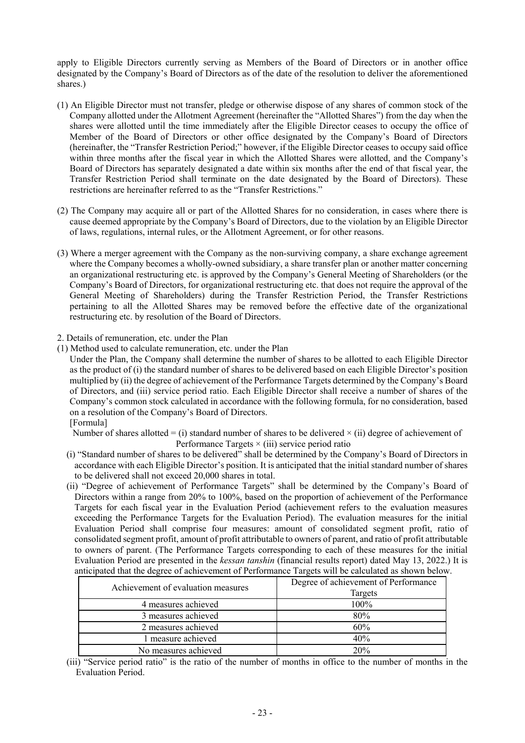apply to Eligible Directors currently serving as Members of the Board of Directors or in another office designated by the Company's Board of Directors as of the date of the resolution to deliver the aforementioned shares.)

- (1) An Eligible Director must not transfer, pledge or otherwise dispose of any shares of common stock of the Company allotted under the Allotment Agreement (hereinafter the "Allotted Shares") from the day when the shares were allotted until the time immediately after the Eligible Director ceases to occupy the office of Member of the Board of Directors or other office designated by the Company's Board of Directors (hereinafter, the "Transfer Restriction Period;" however, if the Eligible Director ceases to occupy said office within three months after the fiscal year in which the Allotted Shares were allotted, and the Company's Board of Directors has separately designated a date within six months after the end of that fiscal year, the Transfer Restriction Period shall terminate on the date designated by the Board of Directors). These restrictions are hereinafter referred to as the "Transfer Restrictions."
- (2) The Company may acquire all or part of the Allotted Shares for no consideration, in cases where there is cause deemed appropriate by the Company's Board of Directors, due to the violation by an Eligible Director of laws, regulations, internal rules, or the Allotment Agreement, or for other reasons.
- (3) Where a merger agreement with the Company as the non-surviving company, a share exchange agreement where the Company becomes a wholly-owned subsidiary, a share transfer plan or another matter concerning an organizational restructuring etc. is approved by the Company's General Meeting of Shareholders (or the Company's Board of Directors, for organizational restructuring etc. that does not require the approval of the General Meeting of Shareholders) during the Transfer Restriction Period, the Transfer Restrictions pertaining to all the Allotted Shares may be removed before the effective date of the organizational restructuring etc. by resolution of the Board of Directors.
- 2. Details of remuneration, etc. under the Plan
- (1) Method used to calculate remuneration, etc. under the Plan
	- Under the Plan, the Company shall determine the number of shares to be allotted to each Eligible Director as the product of (i) the standard number of shares to be delivered based on each Eligible Director's position multiplied by (ii) the degree of achievement of the Performance Targets determined by the Company's Board of Directors, and (iii) service period ratio. Each Eligible Director shall receive a number of shares of the Company's common stock calculated in accordance with the following formula, for no consideration, based on a resolution of the Company's Board of Directors.
		- [Formula]

Number of shares allotted = (i) standard number of shares to be delivered  $\times$  (ii) degree of achievement of Performance Targets  $\times$  (iii) service period ratio

- (i) "Standard number of shares to be delivered" shall be determined by the Company's Board of Directors in accordance with each Eligible Director's position. It is anticipated that the initial standard number of shares to be delivered shall not exceed 20,000 shares in total.
- (ii) "Degree of achievement of Performance Targets" shall be determined by the Company's Board of Directors within a range from 20% to 100%, based on the proportion of achievement of the Performance Targets for each fiscal year in the Evaluation Period (achievement refers to the evaluation measures exceeding the Performance Targets for the Evaluation Period). The evaluation measures for the initial Evaluation Period shall comprise four measures: amount of consolidated segment profit, ratio of consolidated segment profit, amount of profit attributable to owners of parent, and ratio of profit attributable to owners of parent. (The Performance Targets corresponding to each of these measures for the initial Evaluation Period are presented in the *kessan tanshin* (financial results report) dated May 13, 2022.) It is anticipated that the degree of achievement of Performance Targets will be calculated as shown below.

| A chievement of evaluation measures | Degree of achievement of Performance |
|-------------------------------------|--------------------------------------|
|                                     | Targets                              |
| 4 measures achieved                 | $100\%$                              |
| 3 measures achieved                 | 80%                                  |
| 2 measures achieved                 | 60%                                  |
| l measure achieved                  | 40%                                  |
| No measures achieved                | 20%                                  |

(iii) "Service period ratio" is the ratio of the number of months in office to the number of months in the Evaluation Period.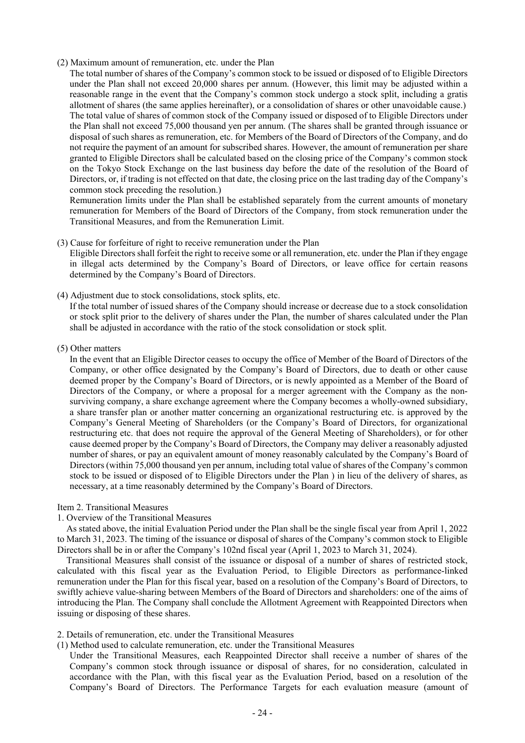## (2) Maximum amount of remuneration, etc. under the Plan

The total number of shares of the Company's common stock to be issued or disposed of to Eligible Directors under the Plan shall not exceed 20,000 shares per annum. (However, this limit may be adjusted within a reasonable range in the event that the Company's common stock undergo a stock split, including a gratis allotment of shares (the same applies hereinafter), or a consolidation of shares or other unavoidable cause.) The total value of shares of common stock of the Company issued or disposed of to Eligible Directors under the Plan shall not exceed 75,000 thousand yen per annum. (The shares shall be granted through issuance or disposal of such shares as remuneration, etc. for Members of the Board of Directors of the Company, and do not require the payment of an amount for subscribed shares. However, the amount of remuneration per share granted to Eligible Directors shall be calculated based on the closing price of the Company's common stock on the Tokyo Stock Exchange on the last business day before the date of the resolution of the Board of Directors, or, if trading is not effected on that date, the closing price on the last trading day of the Company's common stock preceding the resolution.)

Remuneration limits under the Plan shall be established separately from the current amounts of monetary remuneration for Members of the Board of Directors of the Company, from stock remuneration under the Transitional Measures, and from the Remuneration Limit.

### (3) Cause for forfeiture of right to receive remuneration under the Plan

Eligible Directors shall forfeit the right to receive some or all remuneration, etc. under the Plan if they engage in illegal acts determined by the Company's Board of Directors, or leave office for certain reasons determined by the Company's Board of Directors.

(4) Adjustment due to stock consolidations, stock splits, etc.

If the total number of issued shares of the Company should increase or decrease due to a stock consolidation or stock split prior to the delivery of shares under the Plan, the number of shares calculated under the Plan shall be adjusted in accordance with the ratio of the stock consolidation or stock split.

(5) Other matters

In the event that an Eligible Director ceases to occupy the office of Member of the Board of Directors of the Company, or other office designated by the Company's Board of Directors, due to death or other cause deemed proper by the Company's Board of Directors, or is newly appointed as a Member of the Board of Directors of the Company, or where a proposal for a merger agreement with the Company as the nonsurviving company, a share exchange agreement where the Company becomes a wholly-owned subsidiary, a share transfer plan or another matter concerning an organizational restructuring etc. is approved by the Company's General Meeting of Shareholders (or the Company's Board of Directors, for organizational restructuring etc. that does not require the approval of the General Meeting of Shareholders), or for other cause deemed proper by the Company's Board of Directors, the Company may deliver a reasonably adjusted number of shares, or pay an equivalent amount of money reasonably calculated by the Company's Board of Directors (within 75,000 thousand yen per annum, including total value of shares of the Company's common stock to be issued or disposed of to Eligible Directors under the Plan ) in lieu of the delivery of shares, as necessary, at a time reasonably determined by the Company's Board of Directors.

### Item 2. Transitional Measures

### 1. Overview of the Transitional Measures

As stated above, the initial Evaluation Period under the Plan shall be the single fiscal year from April 1, 2022 to March 31, 2023. The timing of the issuance or disposal of shares of the Company's common stock to Eligible Directors shall be in or after the Company's 102nd fiscal year (April 1, 2023 to March 31, 2024).

Transitional Measures shall consist of the issuance or disposal of a number of shares of restricted stock, calculated with this fiscal year as the Evaluation Period, to Eligible Directors as performance-linked remuneration under the Plan for this fiscal year, based on a resolution of the Company's Board of Directors, to swiftly achieve value-sharing between Members of the Board of Directors and shareholders: one of the aims of introducing the Plan. The Company shall conclude the Allotment Agreement with Reappointed Directors when issuing or disposing of these shares.

- 2. Details of remuneration, etc. under the Transitional Measures
- (1) Method used to calculate remuneration, etc. under the Transitional Measures

Under the Transitional Measures, each Reappointed Director shall receive a number of shares of the Company's common stock through issuance or disposal of shares, for no consideration, calculated in accordance with the Plan, with this fiscal year as the Evaluation Period, based on a resolution of the Company's Board of Directors. The Performance Targets for each evaluation measure (amount of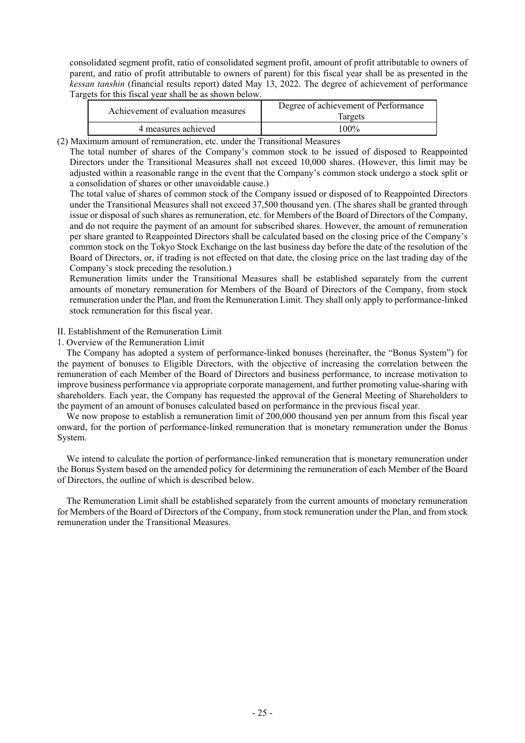consolidated segment profit, ratio of consolidated segment profit, amount of profit attributable to owners of parent, and ratio of profit attributable to owners of parent) for this fiscal year shall be as presented in the *kessan tanshin* (financial results report) dated May 13, 2022. The degree of achievement of performance Targets for this fiscal year shall be as shown below.

| Achievement of evaluation measures | Degree of achievement of Performance<br>largets |
|------------------------------------|-------------------------------------------------|
| 4 measures achieved                | $100\%$                                         |

(2) Maximum amount of remuneration, etc. under the Transitional Measures

The total number of shares of the Company's common stock to be issued of disposed to Reappointed Directors under the Transitional Measures shall not exceed 10,000 shares. (However, this limit may be adjusted within a reasonable range in the event that the Company's common stock undergo a stock split or a consolidation of shares or other unavoidable cause.)

The total value of shares of common stock of the Company issued or disposed of to Reappointed Directors under the Transitional Measures shall not exceed 37,500 thousand yen. (The shares shall be granted through issue or disposal of such shares as remuneration, etc. for Members of the Board of Directors of the Company, and do not require the payment of an amount for subscribed shares. However, the amount of remuneration per share granted to Reappointed Directors shall be calculated based on the closing price of the Company's common stock on the Tokyo Stock Exchange on the last business day before the date of the resolution of the Board of Directors, or, if trading is not effected on that date, the closing price on the last trading day of the Company's stock preceding the resolution.)

Remuneration limits under the Transitional Measures shall be established separately from the current amounts of monetary remuneration for Members of the Board of Directors of the Company, from stock remuneration under the Plan, and from the Remuneration Limit. They shall only apply to performance-linked stock remuneration for this fiscal year.

## II. Establishment of the Remuneration Limit

## 1. Overview of the Remuneration Limit

The Company has adopted a system of performance-linked bonuses (hereinafter, the "Bonus System") for the payment of bonuses to Eligible Directors, with the objective of increasing the correlation between the remuneration of each Member of the Board of Directors and business performance, to increase motivation to improve business performance via appropriate corporate management, and further promoting value-sharing with shareholders. Each year, the Company has requested the approval of the General Meeting of Shareholders to the payment of an amount of bonuses calculated based on performance in the previous fiscal year.

We now propose to establish a remuneration limit of 200,000 thousand yen per annum from this fiscal year onward, for the portion of performance-linked remuneration that is monetary remuneration under the Bonus System.

We intend to calculate the portion of performance-linked remuneration that is monetary remuneration under the Bonus System based on the amended policy for determining the remuneration of each Member of the Board of Directors, the outline of which is described below.

The Remuneration Limit shall be established separately from the current amounts of monetary remuneration for Members of the Board of Directors of the Company, from stock remuneration under the Plan, and from stock remuneration under the Transitional Measures.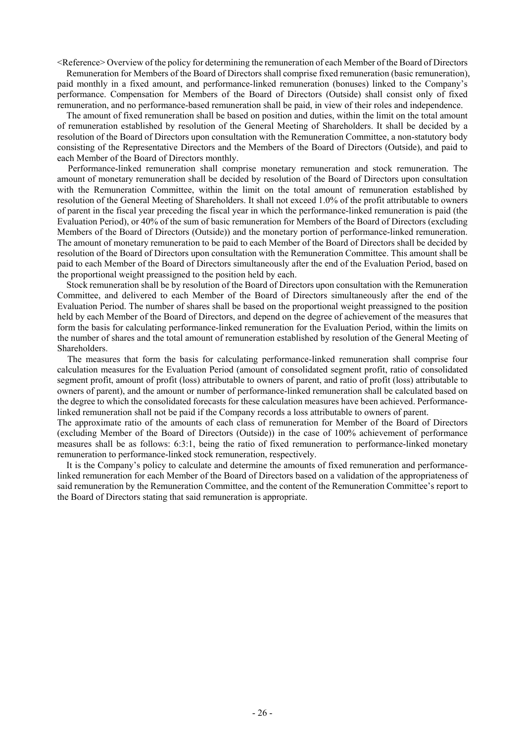<Reference> Overview of the policy for determining the remuneration of each Member of the Board of Directors

Remuneration for Members of the Board of Directors shall comprise fixed remuneration (basic remuneration), paid monthly in a fixed amount, and performance-linked remuneration (bonuses) linked to the Company's performance. Compensation for Members of the Board of Directors (Outside) shall consist only of fixed remuneration, and no performance-based remuneration shall be paid, in view of their roles and independence.

The amount of fixed remuneration shall be based on position and duties, within the limit on the total amount of remuneration established by resolution of the General Meeting of Shareholders. It shall be decided by a resolution of the Board of Directors upon consultation with the Remuneration Committee, a non-statutory body consisting of the Representative Directors and the Members of the Board of Directors (Outside), and paid to each Member of the Board of Directors monthly.

Performance-linked remuneration shall comprise monetary remuneration and stock remuneration. The amount of monetary remuneration shall be decided by resolution of the Board of Directors upon consultation with the Remuneration Committee, within the limit on the total amount of remuneration established by resolution of the General Meeting of Shareholders. It shall not exceed 1.0% of the profit attributable to owners of parent in the fiscal year preceding the fiscal year in which the performance-linked remuneration is paid (the Evaluation Period), or 40% of the sum of basic remuneration for Members of the Board of Directors (excluding Members of the Board of Directors (Outside)) and the monetary portion of performance-linked remuneration. The amount of monetary remuneration to be paid to each Member of the Board of Directors shall be decided by resolution of the Board of Directors upon consultation with the Remuneration Committee. This amount shall be paid to each Member of the Board of Directors simultaneously after the end of the Evaluation Period, based on the proportional weight preassigned to the position held by each.

Stock remuneration shall be by resolution of the Board of Directors upon consultation with the Remuneration Committee, and delivered to each Member of the Board of Directors simultaneously after the end of the Evaluation Period. The number of shares shall be based on the proportional weight preassigned to the position held by each Member of the Board of Directors, and depend on the degree of achievement of the measures that form the basis for calculating performance-linked remuneration for the Evaluation Period, within the limits on the number of shares and the total amount of remuneration established by resolution of the General Meeting of Shareholders.

The measures that form the basis for calculating performance-linked remuneration shall comprise four calculation measures for the Evaluation Period (amount of consolidated segment profit, ratio of consolidated segment profit, amount of profit (loss) attributable to owners of parent, and ratio of profit (loss) attributable to owners of parent), and the amount or number of performance-linked remuneration shall be calculated based on the degree to which the consolidated forecasts for these calculation measures have been achieved. Performancelinked remuneration shall not be paid if the Company records a loss attributable to owners of parent.

The approximate ratio of the amounts of each class of remuneration for Member of the Board of Directors (excluding Member of the Board of Directors (Outside)) in the case of 100% achievement of performance measures shall be as follows: 6:3:1, being the ratio of fixed remuneration to performance-linked monetary remuneration to performance-linked stock remuneration, respectively.

It is the Company's policy to calculate and determine the amounts of fixed remuneration and performancelinked remuneration for each Member of the Board of Directors based on a validation of the appropriateness of said remuneration by the Remuneration Committee, and the content of the Remuneration Committee's report to the Board of Directors stating that said remuneration is appropriate.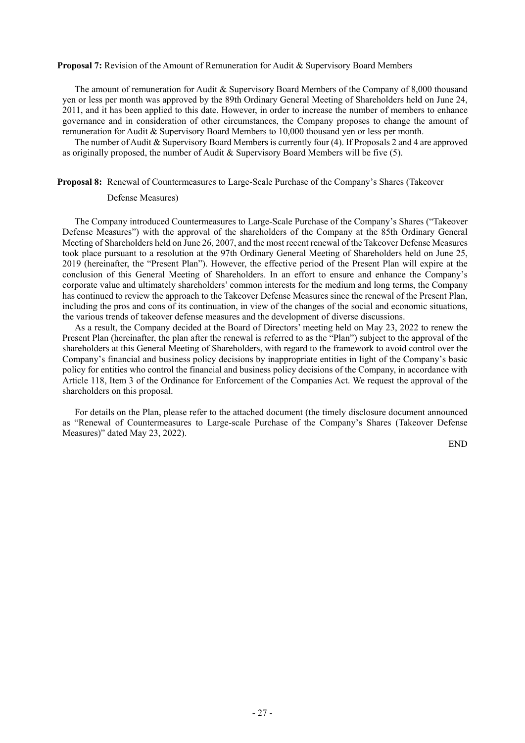#### **Proposal 7:** Revision of the Amount of Remuneration for Audit & Supervisory Board Members

The amount of remuneration for Audit & Supervisory Board Members of the Company of 8,000 thousand yen or less per month was approved by the 89th Ordinary General Meeting of Shareholders held on June 24, 2011, and it has been applied to this date. However, in order to increase the number of members to enhance governance and in consideration of other circumstances, the Company proposes to change the amount of remuneration for Audit & Supervisory Board Members to 10,000 thousand yen or less per month.

The number of Audit & Supervisory Board Members is currently four (4). If Proposals 2 and 4 are approved as originally proposed, the number of Audit & Supervisory Board Members will be five (5).

#### **Proposal 8:** Renewal of Countermeasures to Large-Scale Purchase of the Company's Shares (Takeover

#### Defense Measures)

The Company introduced Countermeasures to Large-Scale Purchase of the Company's Shares ("Takeover Defense Measures") with the approval of the shareholders of the Company at the 85th Ordinary General Meeting of Shareholders held on June 26, 2007, and the most recent renewal of the Takeover Defense Measures took place pursuant to a resolution at the 97th Ordinary General Meeting of Shareholders held on June 25, 2019 (hereinafter, the "Present Plan"). However, the effective period of the Present Plan will expire at the conclusion of this General Meeting of Shareholders. In an effort to ensure and enhance the Company's corporate value and ultimately shareholders' common interests for the medium and long terms, the Company has continued to review the approach to the Takeover Defense Measures since the renewal of the Present Plan, including the pros and cons of its continuation, in view of the changes of the social and economic situations, the various trends of takeover defense measures and the development of diverse discussions.

As a result, the Company decided at the Board of Directors' meeting held on May 23, 2022 to renew the Present Plan (hereinafter, the plan after the renewal is referred to as the "Plan") subject to the approval of the shareholders at this General Meeting of Shareholders, with regard to the framework to avoid control over the Company's financial and business policy decisions by inappropriate entities in light of the Company's basic policy for entities who control the financial and business policy decisions of the Company, in accordance with Article 118, Item 3 of the Ordinance for Enforcement of the Companies Act. We request the approval of the shareholders on this proposal.

For details on the Plan, please refer to the attached document (the timely disclosure document announced as "Renewal of Countermeasures to Large-scale Purchase of the Company's Shares (Takeover Defense Measures)" dated May 23, 2022).

END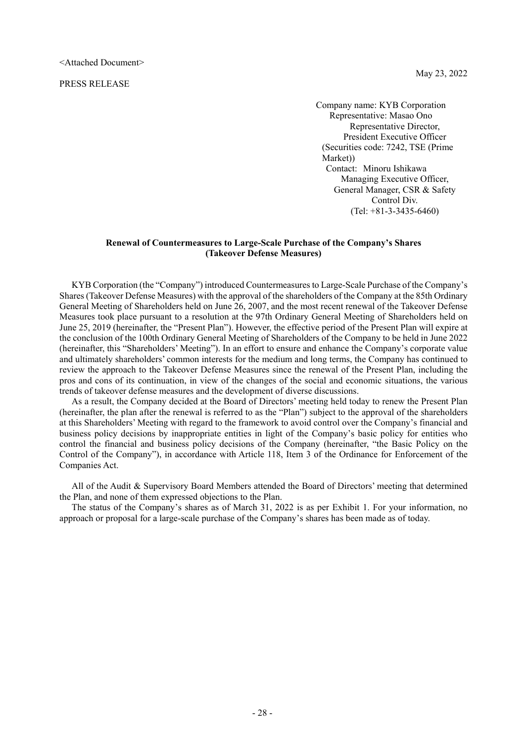PRESS RELEASE

 Company name: KYB Corporation Representative: Masao Ono Representative Director, President Executive Officer (Securities code: 7242, TSE (Prime Market)) Contact: Minoru Ishikawa Managing Executive Officer, General Manager, CSR & Safety Control Div. (Tel: +81-3-3435-6460)

#### **Renewal of Countermeasures to Large-Scale Purchase of the Company's Shares (Takeover Defense Measures)**

KYB Corporation (the "Company") introduced Countermeasures to Large-Scale Purchase of the Company's Shares (Takeover Defense Measures) with the approval of the shareholders of the Company at the 85th Ordinary General Meeting of Shareholders held on June 26, 2007, and the most recent renewal of the Takeover Defense Measures took place pursuant to a resolution at the 97th Ordinary General Meeting of Shareholders held on June 25, 2019 (hereinafter, the "Present Plan"). However, the effective period of the Present Plan will expire at the conclusion of the 100th Ordinary General Meeting of Shareholders of the Company to be held in June 2022 (hereinafter, this "Shareholders' Meeting"). In an effort to ensure and enhance the Company's corporate value and ultimately shareholders' common interests for the medium and long terms, the Company has continued to review the approach to the Takeover Defense Measures since the renewal of the Present Plan, including the pros and cons of its continuation, in view of the changes of the social and economic situations, the various trends of takeover defense measures and the development of diverse discussions.

As a result, the Company decided at the Board of Directors' meeting held today to renew the Present Plan (hereinafter, the plan after the renewal is referred to as the "Plan") subject to the approval of the shareholders at this Shareholders' Meeting with regard to the framework to avoid control over the Company's financial and business policy decisions by inappropriate entities in light of the Company's basic policy for entities who control the financial and business policy decisions of the Company (hereinafter, "the Basic Policy on the Control of the Company"), in accordance with Article 118, Item 3 of the Ordinance for Enforcement of the Companies Act.

All of the Audit & Supervisory Board Members attended the Board of Directors' meeting that determined the Plan, and none of them expressed objections to the Plan.

The status of the Company's shares as of March 31, 2022 is as per Exhibit 1. For your information, no approach or proposal for a large-scale purchase of the Company's shares has been made as of today.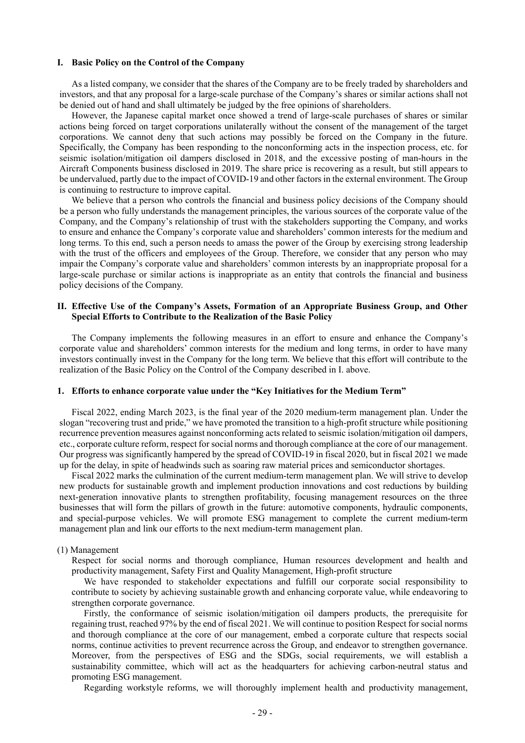#### **I. Basic Policy on the Control of the Company**

As a listed company, we consider that the shares of the Company are to be freely traded by shareholders and investors, and that any proposal for a large-scale purchase of the Company's shares or similar actions shall not be denied out of hand and shall ultimately be judged by the free opinions of shareholders.

However, the Japanese capital market once showed a trend of large-scale purchases of shares or similar actions being forced on target corporations unilaterally without the consent of the management of the target corporations. We cannot deny that such actions may possibly be forced on the Company in the future. Specifically, the Company has been responding to the nonconforming acts in the inspection process, etc. for seismic isolation/mitigation oil dampers disclosed in 2018, and the excessive posting of man-hours in the Aircraft Components business disclosed in 2019. The share price is recovering as a result, but still appears to be undervalued, partly due to the impact of COVID-19 and other factors in the external environment. The Group is continuing to restructure to improve capital.

We believe that a person who controls the financial and business policy decisions of the Company should be a person who fully understands the management principles, the various sources of the corporate value of the Company, and the Company's relationship of trust with the stakeholders supporting the Company, and works to ensure and enhance the Company's corporate value and shareholders' common interests for the medium and long terms. To this end, such a person needs to amass the power of the Group by exercising strong leadership with the trust of the officers and employees of the Group. Therefore, we consider that any person who may impair the Company's corporate value and shareholders' common interests by an inappropriate proposal for a large-scale purchase or similar actions is inappropriate as an entity that controls the financial and business policy decisions of the Company.

### **II. Effective Use of the Company's Assets, Formation of an Appropriate Business Group, and Other Special Efforts to Contribute to the Realization of the Basic Policy**

The Company implements the following measures in an effort to ensure and enhance the Company's corporate value and shareholders' common interests for the medium and long terms, in order to have many investors continually invest in the Company for the long term. We believe that this effort will contribute to the realization of the Basic Policy on the Control of the Company described in I. above.

#### **1. Efforts to enhance corporate value under the "Key Initiatives for the Medium Term"**

Fiscal 2022, ending March 2023, is the final year of the 2020 medium-term management plan. Under the slogan "recovering trust and pride," we have promoted the transition to a high-profit structure while positioning recurrence prevention measures against nonconforming acts related to seismic isolation/mitigation oil dampers, etc., corporate culture reform, respect for social norms and thorough compliance at the core of our management. Our progress was significantly hampered by the spread of COVID-19 in fiscal 2020, but in fiscal 2021 we made up for the delay, in spite of headwinds such as soaring raw material prices and semiconductor shortages.

Fiscal 2022 marks the culmination of the current medium-term management plan. We will strive to develop new products for sustainable growth and implement production innovations and cost reductions by building next-generation innovative plants to strengthen profitability, focusing management resources on the three businesses that will form the pillars of growth in the future: automotive components, hydraulic components, and special-purpose vehicles. We will promote ESG management to complete the current medium-term management plan and link our efforts to the next medium-term management plan.

#### (1) Management

Respect for social norms and thorough compliance, Human resources development and health and productivity management, Safety First and Quality Management, High-profit structure

We have responded to stakeholder expectations and fulfill our corporate social responsibility to contribute to society by achieving sustainable growth and enhancing corporate value, while endeavoring to strengthen corporate governance.

Firstly, the conformance of seismic isolation/mitigation oil dampers products, the prerequisite for regaining trust, reached 97% by the end of fiscal 2021. We will continue to position Respect for social norms and thorough compliance at the core of our management, embed a corporate culture that respects social norms, continue activities to prevent recurrence across the Group, and endeavor to strengthen governance. Moreover, from the perspectives of ESG and the SDGs, social requirements, we will establish a sustainability committee, which will act as the headquarters for achieving carbon-neutral status and promoting ESG management.

Regarding workstyle reforms, we will thoroughly implement health and productivity management,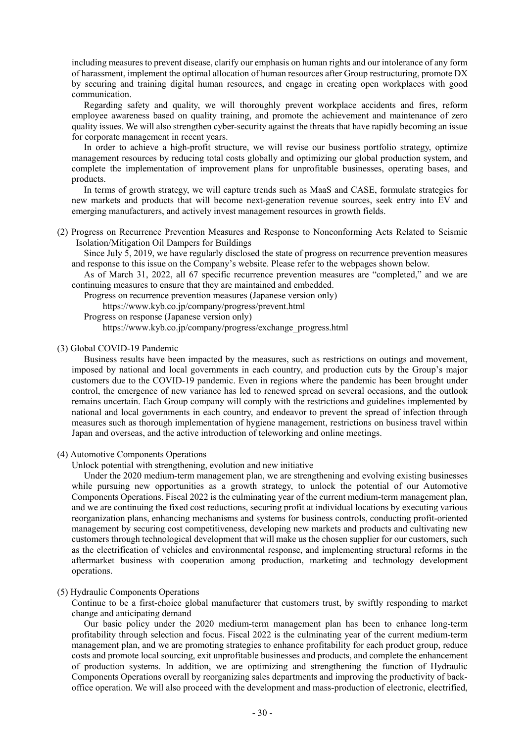including measures to prevent disease, clarify our emphasis on human rights and our intolerance of any form of harassment, implement the optimal allocation of human resources after Group restructuring, promote DX by securing and training digital human resources, and engage in creating open workplaces with good communication.

Regarding safety and quality, we will thoroughly prevent workplace accidents and fires, reform employee awareness based on quality training, and promote the achievement and maintenance of zero quality issues. We will also strengthen cyber-security against the threats that have rapidly becoming an issue for corporate management in recent years.

In order to achieve a high-profit structure, we will revise our business portfolio strategy, optimize management resources by reducing total costs globally and optimizing our global production system, and complete the implementation of improvement plans for unprofitable businesses, operating bases, and products.

In terms of growth strategy, we will capture trends such as MaaS and CASE, formulate strategies for new markets and products that will become next-generation revenue sources, seek entry into EV and emerging manufacturers, and actively invest management resources in growth fields.

(2) Progress on Recurrence Prevention Measures and Response to Nonconforming Acts Related to Seismic Isolation/Mitigation Oil Dampers for Buildings

Since July 5, 2019, we have regularly disclosed the state of progress on recurrence prevention measures and response to this issue on the Company's website. Please refer to the webpages shown below.

As of March 31, 2022, all 67 specific recurrence prevention measures are "completed," and we are continuing measures to ensure that they are maintained and embedded.

Progress on recurrence prevention measures (Japanese version only)

https://www.kyb.co.jp/company/progress/prevent.html

Progress on response (Japanese version only)

https://www.kyb.co.jp/company/progress/exchange\_progress.html

#### (3) Global COVID-19 Pandemic

Business results have been impacted by the measures, such as restrictions on outings and movement, imposed by national and local governments in each country, and production cuts by the Group's major customers due to the COVID-19 pandemic. Even in regions where the pandemic has been brought under control, the emergence of new variance has led to renewed spread on several occasions, and the outlook remains uncertain. Each Group company will comply with the restrictions and guidelines implemented by national and local governments in each country, and endeavor to prevent the spread of infection through measures such as thorough implementation of hygiene management, restrictions on business travel within Japan and overseas, and the active introduction of teleworking and online meetings.

#### (4) Automotive Components Operations

Unlock potential with strengthening, evolution and new initiative

Under the 2020 medium-term management plan, we are strengthening and evolving existing businesses while pursuing new opportunities as a growth strategy, to unlock the potential of our Automotive Components Operations. Fiscal 2022 is the culminating year of the current medium-term management plan, and we are continuing the fixed cost reductions, securing profit at individual locations by executing various reorganization plans, enhancing mechanisms and systems for business controls, conducting profit-oriented management by securing cost competitiveness, developing new markets and products and cultivating new customers through technological development that will make us the chosen supplier for our customers, such as the electrification of vehicles and environmental response, and implementing structural reforms in the aftermarket business with cooperation among production, marketing and technology development operations.

## (5) Hydraulic Components Operations

Continue to be a first-choice global manufacturer that customers trust, by swiftly responding to market change and anticipating demand

Our basic policy under the 2020 medium-term management plan has been to enhance long-term profitability through selection and focus. Fiscal 2022 is the culminating year of the current medium-term management plan, and we are promoting strategies to enhance profitability for each product group, reduce costs and promote local sourcing, exit unprofitable businesses and products, and complete the enhancement of production systems. In addition, we are optimizing and strengthening the function of Hydraulic Components Operations overall by reorganizing sales departments and improving the productivity of backoffice operation. We will also proceed with the development and mass-production of electronic, electrified,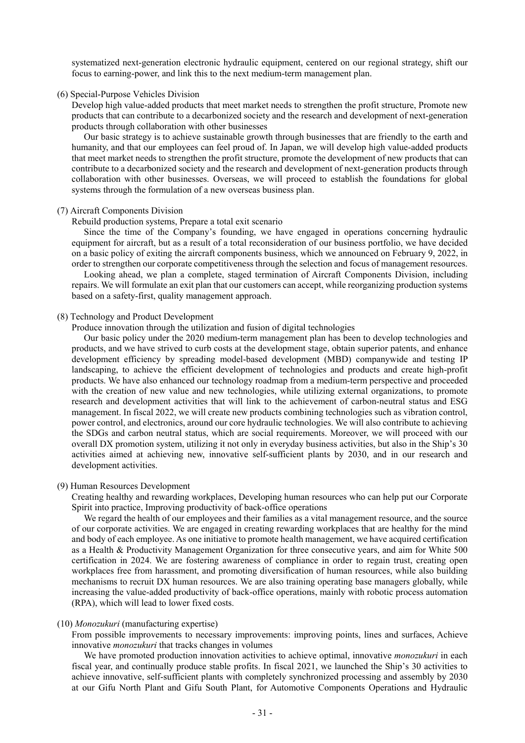systematized next-generation electronic hydraulic equipment, centered on our regional strategy, shift our focus to earning-power, and link this to the next medium-term management plan.

#### (6) Special-Purpose Vehicles Division

Develop high value-added products that meet market needs to strengthen the profit structure, Promote new products that can contribute to a decarbonized society and the research and development of next-generation products through collaboration with other businesses

Our basic strategy is to achieve sustainable growth through businesses that are friendly to the earth and humanity, and that our employees can feel proud of. In Japan, we will develop high value-added products that meet market needs to strengthen the profit structure, promote the development of new products that can contribute to a decarbonized society and the research and development of next-generation products through collaboration with other businesses. Overseas, we will proceed to establish the foundations for global systems through the formulation of a new overseas business plan.

#### (7) Aircraft Components Division

Rebuild production systems, Prepare a total exit scenario

Since the time of the Company's founding, we have engaged in operations concerning hydraulic equipment for aircraft, but as a result of a total reconsideration of our business portfolio, we have decided on a basic policy of exiting the aircraft components business, which we announced on February 9, 2022, in order to strengthen our corporate competitiveness through the selection and focus of management resources. Looking ahead, we plan a complete, staged termination of Aircraft Components Division, including repairs. We will formulate an exit plan that our customers can accept, while reorganizing production systems based on a safety-first, quality management approach.

#### (8) Technology and Product Development

Produce innovation through the utilization and fusion of digital technologies

Our basic policy under the 2020 medium-term management plan has been to develop technologies and products, and we have strived to curb costs at the development stage, obtain superior patents, and enhance development efficiency by spreading model-based development (MBD) companywide and testing IP landscaping, to achieve the efficient development of technologies and products and create high-profit products. We have also enhanced our technology roadmap from a medium-term perspective and proceeded with the creation of new value and new technologies, while utilizing external organizations, to promote research and development activities that will link to the achievement of carbon-neutral status and ESG management. In fiscal 2022, we will create new products combining technologies such as vibration control, power control, and electronics, around our core hydraulic technologies. We will also contribute to achieving the SDGs and carbon neutral status, which are social requirements. Moreover, we will proceed with our overall DX promotion system, utilizing it not only in everyday business activities, but also in the Ship's 30 activities aimed at achieving new, innovative self-sufficient plants by 2030, and in our research and development activities.

#### (9) Human Resources Development

Creating healthy and rewarding workplaces, Developing human resources who can help put our Corporate Spirit into practice, Improving productivity of back-office operations

We regard the health of our employees and their families as a vital management resource, and the source of our corporate activities. We are engaged in creating rewarding workplaces that are healthy for the mind and body of each employee. As one initiative to promote health management, we have acquired certification as a Health & Productivity Management Organization for three consecutive years, and aim for White 500 certification in 2024. We are fostering awareness of compliance in order to regain trust, creating open workplaces free from harassment, and promoting diversification of human resources, while also building mechanisms to recruit DX human resources. We are also training operating base managers globally, while increasing the value-added productivity of back-office operations, mainly with robotic process automation (RPA), which will lead to lower fixed costs.

#### (10) *Monozukuri* (manufacturing expertise)

From possible improvements to necessary improvements: improving points, lines and surfaces, Achieve innovative *monozukuri* that tracks changes in volumes

We have promoted production innovation activities to achieve optimal, innovative *monozukuri* in each fiscal year, and continually produce stable profits. In fiscal 2021, we launched the Ship's 30 activities to achieve innovative, self-sufficient plants with completely synchronized processing and assembly by 2030 at our Gifu North Plant and Gifu South Plant, for Automotive Components Operations and Hydraulic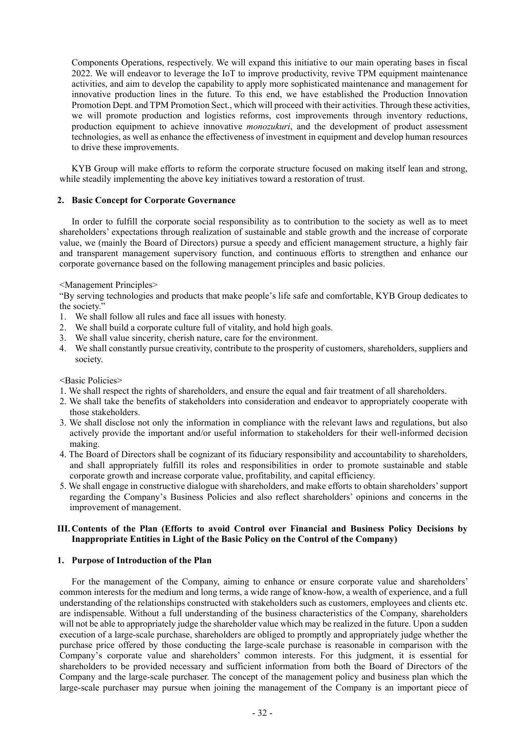Components Operations, respectively. We will expand this initiative to our main operating bases in fiscal 2022. We will endeavor to leverage the IoT to improve productivity, revive TPM equipment maintenance activities, and aim to develop the capability to apply more sophisticated maintenance and management for innovative production lines in the future. To this end, we have established the Production Innovation Promotion Dept. and TPM Promotion Sect., which will proceed with their activities. Through these activities, we will promote production and logistics reforms, cost improvements through inventory reductions, production equipment to achieve innovative *monozukuri*, and the development of product assessment technologies, as well as enhance the effectiveness of investment in equipment and develop human resources to drive these improvements.

KYB Group will make efforts to reform the corporate structure focused on making itself lean and strong, while steadily implementing the above key initiatives toward a restoration of trust.

## **2. Basic Concept for Corporate Governance**

In order to fulfill the corporate social responsibility as to contribution to the society as well as to meet shareholders' expectations through realization of sustainable and stable growth and the increase of corporate value, we (mainly the Board of Directors) pursue a speedy and efficient management structure, a highly fair and transparent management supervisory function, and continuous efforts to strengthen and enhance our corporate governance based on the following management principles and basic policies.

<Management Principles>

"By serving technologies and products that make people's life safe and comfortable, KYB Group dedicates to the society."

- 1. We shall follow all rules and face all issues with honesty.
- 2. We shall build a corporate culture full of vitality, and hold high goals.
- 3. We shall value sincerity, cherish nature, care for the environment.
- 4. We shall constantly pursue creativity, contribute to the prosperity of customers, shareholders, suppliers and society.

<Basic Policies>

- 1. We shall respect the rights of shareholders, and ensure the equal and fair treatment of all shareholders.
- 2. We shall take the benefits of stakeholders into consideration and endeavor to appropriately cooperate with those stakeholders.
- 3. We shall disclose not only the information in compliance with the relevant laws and regulations, but also actively provide the important and/or useful information to stakeholders for their well-informed decision making.
- 4. The Board of Directors shall be cognizant of its fiduciary responsibility and accountability to shareholders, and shall appropriately fulfill its roles and responsibilities in order to promote sustainable and stable corporate growth and increase corporate value, profitability, and capital efficiency.
- 5. We shall engage in constructive dialogue with shareholders, and make efforts to obtain shareholders' support regarding the Company's Business Policies and also reflect shareholders' opinions and concerns in the improvement of management.

# **III. Contents of the Plan (Efforts to avoid Control over Financial and Business Policy Decisions by Inappropriate Entities in Light of the Basic Policy on the Control of the Company)**

### **1. Purpose of Introduction of the Plan**

For the management of the Company, aiming to enhance or ensure corporate value and shareholders' common interests for the medium and long terms, a wide range of know-how, a wealth of experience, and a full understanding of the relationships constructed with stakeholders such as customers, employees and clients etc. are indispensable. Without a full understanding of the business characteristics of the Company, shareholders will not be able to appropriately judge the shareholder value which may be realized in the future. Upon a sudden execution of a large-scale purchase, shareholders are obliged to promptly and appropriately judge whether the purchase price offered by those conducting the large-scale purchase is reasonable in comparison with the Company's corporate value and shareholders' common interests. For this judgment, it is essential for shareholders to be provided necessary and sufficient information from both the Board of Directors of the Company and the large-scale purchaser. The concept of the management policy and business plan which the large-scale purchaser may pursue when joining the management of the Company is an important piece of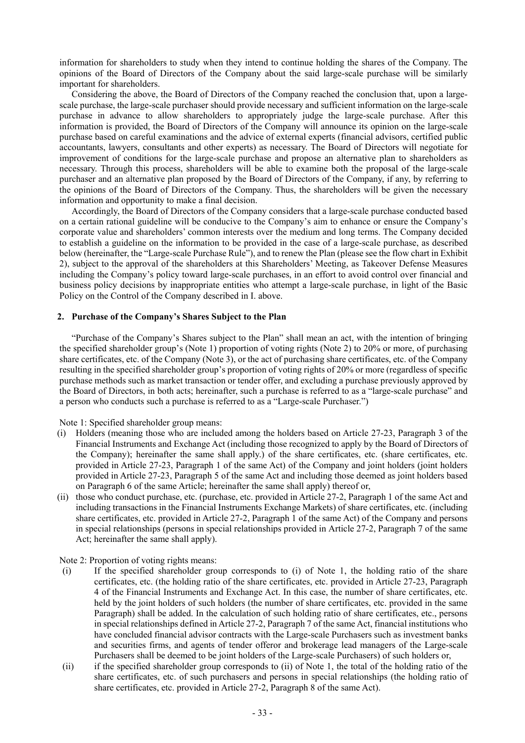information for shareholders to study when they intend to continue holding the shares of the Company. The opinions of the Board of Directors of the Company about the said large-scale purchase will be similarly important for shareholders.

Considering the above, the Board of Directors of the Company reached the conclusion that, upon a largescale purchase, the large-scale purchaser should provide necessary and sufficient information on the large-scale purchase in advance to allow shareholders to appropriately judge the large-scale purchase. After this information is provided, the Board of Directors of the Company will announce its opinion on the large-scale purchase based on careful examinations and the advice of external experts (financial advisors, certified public accountants, lawyers, consultants and other experts) as necessary. The Board of Directors will negotiate for improvement of conditions for the large-scale purchase and propose an alternative plan to shareholders as necessary. Through this process, shareholders will be able to examine both the proposal of the large-scale purchaser and an alternative plan proposed by the Board of Directors of the Company, if any, by referring to the opinions of the Board of Directors of the Company. Thus, the shareholders will be given the necessary information and opportunity to make a final decision.

Accordingly, the Board of Directors of the Company considers that a large-scale purchase conducted based on a certain rational guideline will be conducive to the Company's aim to enhance or ensure the Company's corporate value and shareholders' common interests over the medium and long terms. The Company decided to establish a guideline on the information to be provided in the case of a large-scale purchase, as described below (hereinafter, the "Large-scale Purchase Rule"), and to renew the Plan (please see the flow chart in Exhibit 2), subject to the approval of the shareholders at this Shareholders' Meeting, as Takeover Defense Measures including the Company's policy toward large-scale purchases, in an effort to avoid control over financial and business policy decisions by inappropriate entities who attempt a large-scale purchase, in light of the Basic Policy on the Control of the Company described in I. above.

#### **2. Purchase of the Company's Shares Subject to the Plan**

"Purchase of the Company's Shares subject to the Plan" shall mean an act, with the intention of bringing the specified shareholder group's (Note 1) proportion of voting rights (Note 2) to 20% or more, of purchasing share certificates, etc. of the Company (Note 3), or the act of purchasing share certificates, etc. of the Company resulting in the specified shareholder group's proportion of voting rights of 20% or more (regardless of specific purchase methods such as market transaction or tender offer, and excluding a purchase previously approved by the Board of Directors, in both acts; hereinafter, such a purchase is referred to as a "large-scale purchase" and a person who conducts such a purchase is referred to as a "Large-scale Purchaser.")

Note 1: Specified shareholder group means:

- (i) Holders (meaning those who are included among the holders based on Article 27-23, Paragraph 3 of the Financial Instruments and Exchange Act (including those recognized to apply by the Board of Directors of the Company); hereinafter the same shall apply.) of the share certificates, etc. (share certificates, etc. provided in Article 27-23, Paragraph 1 of the same Act) of the Company and joint holders (joint holders provided in Article 27-23, Paragraph 5 of the same Act and including those deemed as joint holders based on Paragraph 6 of the same Article; hereinafter the same shall apply) thereof or,
- (ii) those who conduct purchase, etc. (purchase, etc. provided in Article 27-2, Paragraph 1 of the same Act and including transactions in the Financial Instruments Exchange Markets) of share certificates, etc. (including share certificates, etc. provided in Article 27-2, Paragraph 1 of the same Act) of the Company and persons in special relationships (persons in special relationships provided in Article 27-2, Paragraph 7 of the same Act; hereinafter the same shall apply).

Note 2: Proportion of voting rights means:

- (i) If the specified shareholder group corresponds to (i) of Note 1, the holding ratio of the share certificates, etc. (the holding ratio of the share certificates, etc. provided in Article 27-23, Paragraph 4 of the Financial Instruments and Exchange Act. In this case, the number of share certificates, etc. held by the joint holders of such holders (the number of share certificates, etc. provided in the same Paragraph) shall be added. In the calculation of such holding ratio of share certificates, etc., persons in special relationships defined in Article 27-2, Paragraph 7 of the same Act, financial institutions who have concluded financial advisor contracts with the Large-scale Purchasers such as investment banks and securities firms, and agents of tender offeror and brokerage lead managers of the Large-scale Purchasers shall be deemed to be joint holders of the Large-scale Purchasers) of such holders or,
- (ii) if the specified shareholder group corresponds to (ii) of Note 1, the total of the holding ratio of the share certificates, etc. of such purchasers and persons in special relationships (the holding ratio of share certificates, etc. provided in Article 27-2, Paragraph 8 of the same Act).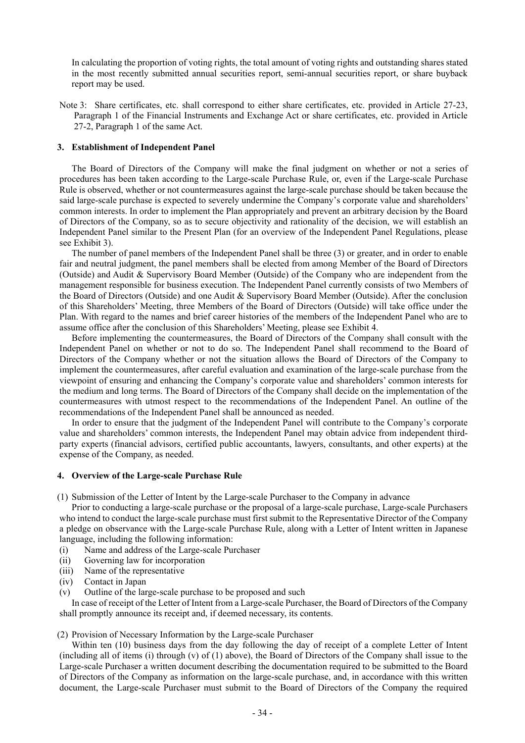In calculating the proportion of voting rights, the total amount of voting rights and outstanding shares stated in the most recently submitted annual securities report, semi-annual securities report, or share buyback report may be used.

Note 3: Share certificates, etc. shall correspond to either share certificates, etc. provided in Article 27-23, Paragraph 1 of the Financial Instruments and Exchange Act or share certificates, etc. provided in Article 27-2, Paragraph 1 of the same Act.

#### **3. Establishment of Independent Panel**

The Board of Directors of the Company will make the final judgment on whether or not a series of procedures has been taken according to the Large-scale Purchase Rule, or, even if the Large-scale Purchase Rule is observed, whether or not countermeasures against the large-scale purchase should be taken because the said large-scale purchase is expected to severely undermine the Company's corporate value and shareholders' common interests. In order to implement the Plan appropriately and prevent an arbitrary decision by the Board of Directors of the Company, so as to secure objectivity and rationality of the decision, we will establish an Independent Panel similar to the Present Plan (for an overview of the Independent Panel Regulations, please see Exhibit 3).

The number of panel members of the Independent Panel shall be three (3) or greater, and in order to enable fair and neutral judgment, the panel members shall be elected from among Member of the Board of Directors (Outside) and Audit & Supervisory Board Member (Outside) of the Company who are independent from the management responsible for business execution. The Independent Panel currently consists of two Members of the Board of Directors (Outside) and one Audit & Supervisory Board Member (Outside). After the conclusion of this Shareholders' Meeting, three Members of the Board of Directors (Outside) will take office under the Plan. With regard to the names and brief career histories of the members of the Independent Panel who are to assume office after the conclusion of this Shareholders' Meeting, please see Exhibit 4.

Before implementing the countermeasures, the Board of Directors of the Company shall consult with the Independent Panel on whether or not to do so. The Independent Panel shall recommend to the Board of Directors of the Company whether or not the situation allows the Board of Directors of the Company to implement the countermeasures, after careful evaluation and examination of the large-scale purchase from the viewpoint of ensuring and enhancing the Company's corporate value and shareholders' common interests for the medium and long terms. The Board of Directors of the Company shall decide on the implementation of the countermeasures with utmost respect to the recommendations of the Independent Panel. An outline of the recommendations of the Independent Panel shall be announced as needed.

In order to ensure that the judgment of the Independent Panel will contribute to the Company's corporate value and shareholders' common interests, the Independent Panel may obtain advice from independent thirdparty experts (financial advisors, certified public accountants, lawyers, consultants, and other experts) at the expense of the Company, as needed.

#### **4. Overview of the Large-scale Purchase Rule**

(1) Submission of the Letter of Intent by the Large-scale Purchaser to the Company in advance

Prior to conducting a large-scale purchase or the proposal of a large-scale purchase, Large-scale Purchasers who intend to conduct the large-scale purchase must first submit to the Representative Director of the Company a pledge on observance with the Large-scale Purchase Rule, along with a Letter of Intent written in Japanese language, including the following information:

- (i) Name and address of the Large-scale Purchaser
- (ii) Governing law for incorporation
- (iii) Name of the representative
- (iv) Contact in Japan
- (v) Outline of the large-scale purchase to be proposed and such

In case of receipt of the Letter of Intent from a Large-scale Purchaser, the Board of Directors of the Company shall promptly announce its receipt and, if deemed necessary, its contents.

(2) Provision of Necessary Information by the Large-scale Purchaser

Within ten (10) business days from the day following the day of receipt of a complete Letter of Intent (including all of items (i) through (v) of (1) above), the Board of Directors of the Company shall issue to the Large-scale Purchaser a written document describing the documentation required to be submitted to the Board of Directors of the Company as information on the large-scale purchase, and, in accordance with this written document, the Large-scale Purchaser must submit to the Board of Directors of the Company the required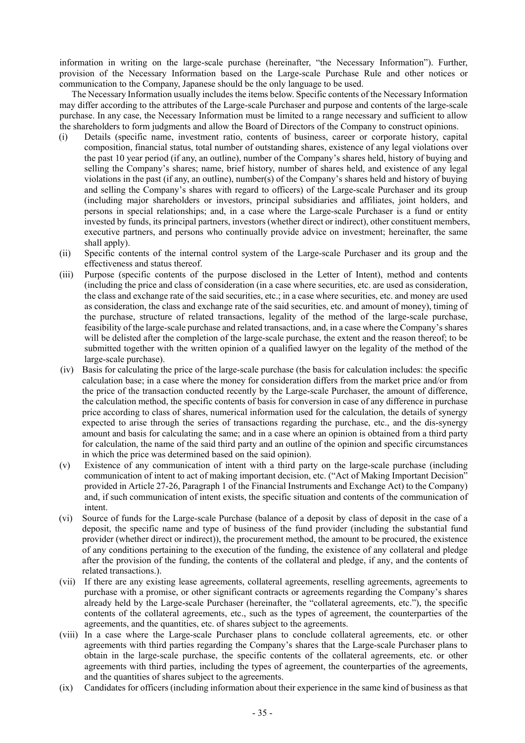information in writing on the large-scale purchase (hereinafter, "the Necessary Information"). Further, provision of the Necessary Information based on the Large-scale Purchase Rule and other notices or communication to the Company, Japanese should be the only language to be used.

The Necessary Information usually includes the items below. Specific contents of the Necessary Information may differ according to the attributes of the Large-scale Purchaser and purpose and contents of the large-scale purchase. In any case, the Necessary Information must be limited to a range necessary and sufficient to allow the shareholders to form judgments and allow the Board of Directors of the Company to construct opinions.

- (i) Details (specific name, investment ratio, contents of business, career or corporate history, capital composition, financial status, total number of outstanding shares, existence of any legal violations over the past 10 year period (if any, an outline), number of the Company's shares held, history of buying and selling the Company's shares; name, brief history, number of shares held, and existence of any legal violations in the past (if any, an outline), number(s) of the Company's shares held and history of buying and selling the Company's shares with regard to officers) of the Large-scale Purchaser and its group (including major shareholders or investors, principal subsidiaries and affiliates, joint holders, and persons in special relationships; and, in a case where the Large-scale Purchaser is a fund or entity invested by funds, its principal partners, investors (whether direct or indirect), other constituent members, executive partners, and persons who continually provide advice on investment; hereinafter, the same shall apply).
- (ii) Specific contents of the internal control system of the Large-scale Purchaser and its group and the effectiveness and status thereof.
- (iii) Purpose (specific contents of the purpose disclosed in the Letter of Intent), method and contents (including the price and class of consideration (in a case where securities, etc. are used as consideration, the class and exchange rate of the said securities, etc.; in a case where securities, etc. and money are used as consideration, the class and exchange rate of the said securities, etc. and amount of money), timing of the purchase, structure of related transactions, legality of the method of the large-scale purchase, feasibility of the large-scale purchase and related transactions, and, in a case where the Company's shares will be delisted after the completion of the large-scale purchase, the extent and the reason thereof; to be submitted together with the written opinion of a qualified lawyer on the legality of the method of the large-scale purchase).
- (iv) Basis for calculating the price of the large-scale purchase (the basis for calculation includes: the specific calculation base; in a case where the money for consideration differs from the market price and/or from the price of the transaction conducted recently by the Large-scale Purchaser, the amount of difference, the calculation method, the specific contents of basis for conversion in case of any difference in purchase price according to class of shares, numerical information used for the calculation, the details of synergy expected to arise through the series of transactions regarding the purchase, etc., and the dis-synergy amount and basis for calculating the same; and in a case where an opinion is obtained from a third party for calculation, the name of the said third party and an outline of the opinion and specific circumstances in which the price was determined based on the said opinion).
- (v) Existence of any communication of intent with a third party on the large-scale purchase (including communication of intent to act of making important decision, etc. ("Act of Making Important Decision" provided in Article 27-26, Paragraph 1 of the Financial Instruments and Exchange Act) to the Company) and, if such communication of intent exists, the specific situation and contents of the communication of intent.
- (vi) Source of funds for the Large-scale Purchase (balance of a deposit by class of deposit in the case of a deposit, the specific name and type of business of the fund provider (including the substantial fund provider (whether direct or indirect)), the procurement method, the amount to be procured, the existence of any conditions pertaining to the execution of the funding, the existence of any collateral and pledge after the provision of the funding, the contents of the collateral and pledge, if any, and the contents of related transactions.).
- (vii) If there are any existing lease agreements, collateral agreements, reselling agreements, agreements to purchase with a promise, or other significant contracts or agreements regarding the Company's shares already held by the Large-scale Purchaser (hereinafter, the "collateral agreements, etc."), the specific contents of the collateral agreements, etc., such as the types of agreement, the counterparties of the agreements, and the quantities, etc. of shares subject to the agreements.
- (viii) In a case where the Large-scale Purchaser plans to conclude collateral agreements, etc. or other agreements with third parties regarding the Company's shares that the Large-scale Purchaser plans to obtain in the large-scale purchase, the specific contents of the collateral agreements, etc. or other agreements with third parties, including the types of agreement, the counterparties of the agreements, and the quantities of shares subject to the agreements.
- (ix) Candidates for officers (including information about their experience in the same kind of business as that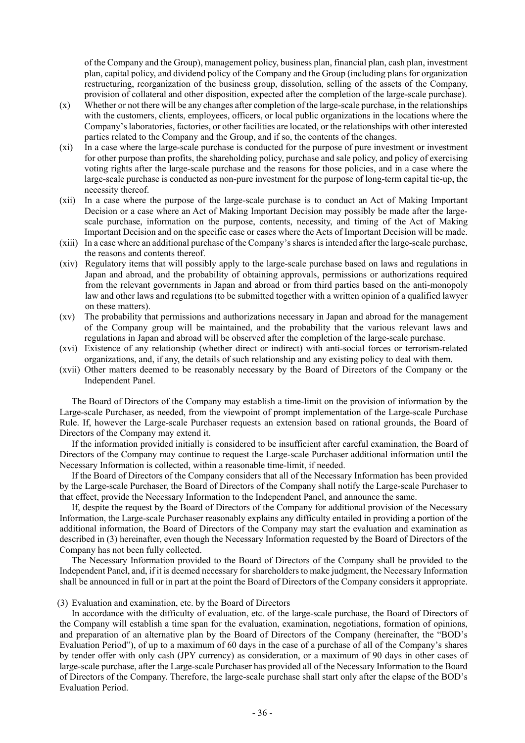of the Company and the Group), management policy, business plan, financial plan, cash plan, investment plan, capital policy, and dividend policy of the Company and the Group (including plans for organization restructuring, reorganization of the business group, dissolution, selling of the assets of the Company, provision of collateral and other disposition, expected after the completion of the large-scale purchase).

- $(x)$  Whether or not there will be any changes after completion of the large-scale purchase, in the relationships with the customers, clients, employees, officers, or local public organizations in the locations where the Company's laboratories, factories, or other facilities are located, or the relationships with other interested parties related to the Company and the Group, and if so, the contents of the changes.
- (xi) In a case where the large-scale purchase is conducted for the purpose of pure investment or investment for other purpose than profits, the shareholding policy, purchase and sale policy, and policy of exercising voting rights after the large-scale purchase and the reasons for those policies, and in a case where the large-scale purchase is conducted as non-pure investment for the purpose of long-term capital tie-up, the necessity thereof.
- (xii) In a case where the purpose of the large-scale purchase is to conduct an Act of Making Important Decision or a case where an Act of Making Important Decision may possibly be made after the largescale purchase, information on the purpose, contents, necessity, and timing of the Act of Making Important Decision and on the specific case or cases where the Acts of Important Decision will be made.
- (xiii) In a case where an additional purchase of the Company's shares is intended after the large-scale purchase, the reasons and contents thereof.
- (xiv) Regulatory items that will possibly apply to the large-scale purchase based on laws and regulations in Japan and abroad, and the probability of obtaining approvals, permissions or authorizations required from the relevant governments in Japan and abroad or from third parties based on the anti-monopoly law and other laws and regulations (to be submitted together with a written opinion of a qualified lawyer on these matters).
- (xv) The probability that permissions and authorizations necessary in Japan and abroad for the management of the Company group will be maintained, and the probability that the various relevant laws and regulations in Japan and abroad will be observed after the completion of the large-scale purchase.
- (xvi) Existence of any relationship (whether direct or indirect) with anti-social forces or terrorism-related organizations, and, if any, the details of such relationship and any existing policy to deal with them.
- (xvii) Other matters deemed to be reasonably necessary by the Board of Directors of the Company or the Independent Panel.

The Board of Directors of the Company may establish a time-limit on the provision of information by the Large-scale Purchaser, as needed, from the viewpoint of prompt implementation of the Large-scale Purchase Rule. If, however the Large-scale Purchaser requests an extension based on rational grounds, the Board of Directors of the Company may extend it.

If the information provided initially is considered to be insufficient after careful examination, the Board of Directors of the Company may continue to request the Large-scale Purchaser additional information until the Necessary Information is collected, within a reasonable time-limit, if needed.

If the Board of Directors of the Company considers that all of the Necessary Information has been provided by the Large-scale Purchaser, the Board of Directors of the Company shall notify the Large-scale Purchaser to that effect, provide the Necessary Information to the Independent Panel, and announce the same.

If, despite the request by the Board of Directors of the Company for additional provision of the Necessary Information, the Large-scale Purchaser reasonably explains any difficulty entailed in providing a portion of the additional information, the Board of Directors of the Company may start the evaluation and examination as described in (3) hereinafter, even though the Necessary Information requested by the Board of Directors of the Company has not been fully collected.

The Necessary Information provided to the Board of Directors of the Company shall be provided to the Independent Panel, and, if it is deemed necessary for shareholders to make judgment, the Necessary Information shall be announced in full or in part at the point the Board of Directors of the Company considers it appropriate.

(3) Evaluation and examination, etc. by the Board of Directors

In accordance with the difficulty of evaluation, etc. of the large-scale purchase, the Board of Directors of the Company will establish a time span for the evaluation, examination, negotiations, formation of opinions, and preparation of an alternative plan by the Board of Directors of the Company (hereinafter, the "BOD's Evaluation Period"), of up to a maximum of 60 days in the case of a purchase of all of the Company's shares by tender offer with only cash (JPY currency) as consideration, or a maximum of 90 days in other cases of large-scale purchase, after the Large-scale Purchaser has provided all of the Necessary Information to the Board of Directors of the Company. Therefore, the large-scale purchase shall start only after the elapse of the BOD's Evaluation Period.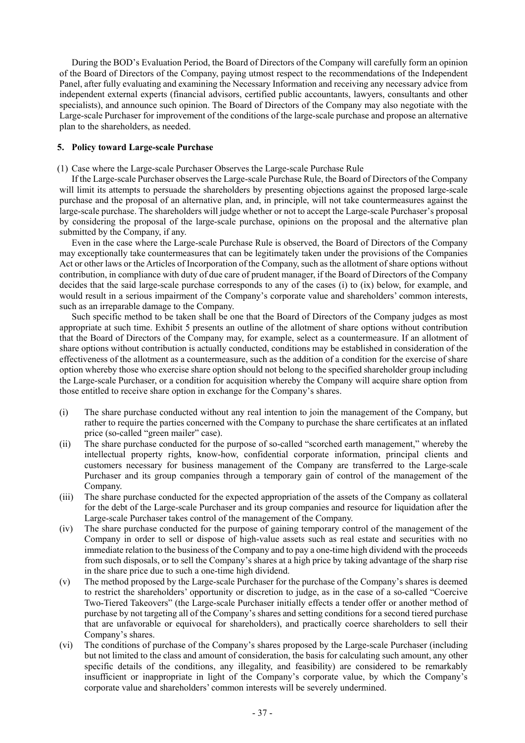During the BOD's Evaluation Period, the Board of Directors of the Company will carefully form an opinion of the Board of Directors of the Company, paying utmost respect to the recommendations of the Independent Panel, after fully evaluating and examining the Necessary Information and receiving any necessary advice from independent external experts (financial advisors, certified public accountants, lawyers, consultants and other specialists), and announce such opinion. The Board of Directors of the Company may also negotiate with the Large-scale Purchaser for improvement of the conditions of the large-scale purchase and propose an alternative plan to the shareholders, as needed.

#### **5. Policy toward Large-scale Purchase**

(1) Case where the Large-scale Purchaser Observes the Large-scale Purchase Rule

If the Large-scale Purchaser observes the Large-scale Purchase Rule, the Board of Directors of the Company will limit its attempts to persuade the shareholders by presenting objections against the proposed large-scale purchase and the proposal of an alternative plan, and, in principle, will not take countermeasures against the large-scale purchase. The shareholders will judge whether or not to accept the Large-scale Purchaser's proposal by considering the proposal of the large-scale purchase, opinions on the proposal and the alternative plan submitted by the Company, if any.

Even in the case where the Large-scale Purchase Rule is observed, the Board of Directors of the Company may exceptionally take countermeasures that can be legitimately taken under the provisions of the Companies Act or other laws or the Articles of Incorporation of the Company, such as the allotment of share options without contribution, in compliance with duty of due care of prudent manager, if the Board of Directors of the Company decides that the said large-scale purchase corresponds to any of the cases (i) to (ix) below, for example, and would result in a serious impairment of the Company's corporate value and shareholders' common interests, such as an irreparable damage to the Company.

Such specific method to be taken shall be one that the Board of Directors of the Company judges as most appropriate at such time. Exhibit 5 presents an outline of the allotment of share options without contribution that the Board of Directors of the Company may, for example, select as a countermeasure. If an allotment of share options without contribution is actually conducted, conditions may be established in consideration of the effectiveness of the allotment as a countermeasure, such as the addition of a condition for the exercise of share option whereby those who exercise share option should not belong to the specified shareholder group including the Large-scale Purchaser, or a condition for acquisition whereby the Company will acquire share option from those entitled to receive share option in exchange for the Company's shares.

- (i) The share purchase conducted without any real intention to join the management of the Company, but rather to require the parties concerned with the Company to purchase the share certificates at an inflated price (so-called "green mailer" case).
- (ii) The share purchase conducted for the purpose of so-called "scorched earth management," whereby the intellectual property rights, know-how, confidential corporate information, principal clients and customers necessary for business management of the Company are transferred to the Large-scale Purchaser and its group companies through a temporary gain of control of the management of the Company.
- (iii) The share purchase conducted for the expected appropriation of the assets of the Company as collateral for the debt of the Large-scale Purchaser and its group companies and resource for liquidation after the Large-scale Purchaser takes control of the management of the Company.
- (iv) The share purchase conducted for the purpose of gaining temporary control of the management of the Company in order to sell or dispose of high-value assets such as real estate and securities with no immediate relation to the business of the Company and to pay a one-time high dividend with the proceeds from such disposals, or to sell the Company's shares at a high price by taking advantage of the sharp rise in the share price due to such a one-time high dividend.
- (v) The method proposed by the Large-scale Purchaser for the purchase of the Company's shares is deemed to restrict the shareholders' opportunity or discretion to judge, as in the case of a so-called "Coercive Two-Tiered Takeovers" (the Large-scale Purchaser initially effects a tender offer or another method of purchase by not targeting all of the Company's shares and setting conditions for a second tiered purchase that are unfavorable or equivocal for shareholders), and practically coerce shareholders to sell their Company's shares.
- (vi) The conditions of purchase of the Company's shares proposed by the Large-scale Purchaser (including but not limited to the class and amount of consideration, the basis for calculating such amount, any other specific details of the conditions, any illegality, and feasibility) are considered to be remarkably insufficient or inappropriate in light of the Company's corporate value, by which the Company's corporate value and shareholders' common interests will be severely undermined.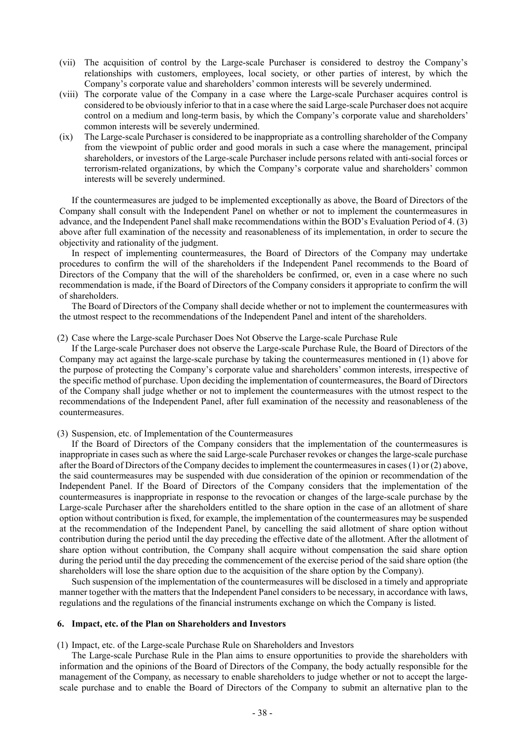- (vii) The acquisition of control by the Large-scale Purchaser is considered to destroy the Company's relationships with customers, employees, local society, or other parties of interest, by which the Company's corporate value and shareholders' common interests will be severely undermined.
- (viii) The corporate value of the Company in a case where the Large-scale Purchaser acquires control is considered to be obviously inferior to that in a case where the said Large-scale Purchaser does not acquire control on a medium and long-term basis, by which the Company's corporate value and shareholders' common interests will be severely undermined.
- (ix) The Large-scale Purchaser is considered to be inappropriate as a controlling shareholder of the Company from the viewpoint of public order and good morals in such a case where the management, principal shareholders, or investors of the Large-scale Purchaser include persons related with anti-social forces or terrorism-related organizations, by which the Company's corporate value and shareholders' common interests will be severely undermined.

If the countermeasures are judged to be implemented exceptionally as above, the Board of Directors of the Company shall consult with the Independent Panel on whether or not to implement the countermeasures in advance, and the Independent Panel shall make recommendations within the BOD's Evaluation Period of 4. (3) above after full examination of the necessity and reasonableness of its implementation, in order to secure the objectivity and rationality of the judgment.

In respect of implementing countermeasures, the Board of Directors of the Company may undertake procedures to confirm the will of the shareholders if the Independent Panel recommends to the Board of Directors of the Company that the will of the shareholders be confirmed, or, even in a case where no such recommendation is made, if the Board of Directors of the Company considers it appropriate to confirm the will of shareholders.

The Board of Directors of the Company shall decide whether or not to implement the countermeasures with the utmost respect to the recommendations of the Independent Panel and intent of the shareholders.

(2) Case where the Large-scale Purchaser Does Not Observe the Large-scale Purchase Rule

If the Large-scale Purchaser does not observe the Large-scale Purchase Rule, the Board of Directors of the Company may act against the large-scale purchase by taking the countermeasures mentioned in (1) above for the purpose of protecting the Company's corporate value and shareholders' common interests, irrespective of the specific method of purchase. Upon deciding the implementation of countermeasures, the Board of Directors of the Company shall judge whether or not to implement the countermeasures with the utmost respect to the recommendations of the Independent Panel, after full examination of the necessity and reasonableness of the countermeasures.

(3) Suspension, etc. of Implementation of the Countermeasures

If the Board of Directors of the Company considers that the implementation of the countermeasures is inappropriate in cases such as where the said Large-scale Purchaser revokes or changes the large-scale purchase after the Board of Directors of the Company decides to implement the countermeasures in cases (1) or (2) above, the said countermeasures may be suspended with due consideration of the opinion or recommendation of the Independent Panel. If the Board of Directors of the Company considers that the implementation of the countermeasures is inappropriate in response to the revocation or changes of the large-scale purchase by the Large-scale Purchaser after the shareholders entitled to the share option in the case of an allotment of share option without contribution is fixed, for example, the implementation of the countermeasures may be suspended at the recommendation of the Independent Panel, by cancelling the said allotment of share option without contribution during the period until the day preceding the effective date of the allotment. After the allotment of share option without contribution, the Company shall acquire without compensation the said share option during the period until the day preceding the commencement of the exercise period of the said share option (the shareholders will lose the share option due to the acquisition of the share option by the Company).

Such suspension of the implementation of the countermeasures will be disclosed in a timely and appropriate manner together with the matters that the Independent Panel considers to be necessary, in accordance with laws, regulations and the regulations of the financial instruments exchange on which the Company is listed.

#### **6. Impact, etc. of the Plan on Shareholders and Investors**

(1) Impact, etc. of the Large-scale Purchase Rule on Shareholders and Investors

The Large-scale Purchase Rule in the Plan aims to ensure opportunities to provide the shareholders with information and the opinions of the Board of Directors of the Company, the body actually responsible for the management of the Company, as necessary to enable shareholders to judge whether or not to accept the largescale purchase and to enable the Board of Directors of the Company to submit an alternative plan to the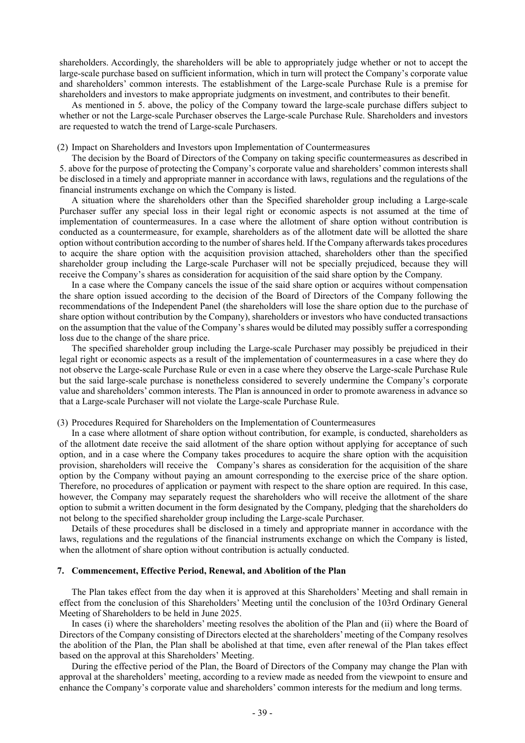shareholders. Accordingly, the shareholders will be able to appropriately judge whether or not to accept the large-scale purchase based on sufficient information, which in turn will protect the Company's corporate value and shareholders' common interests. The establishment of the Large-scale Purchase Rule is a premise for shareholders and investors to make appropriate judgments on investment, and contributes to their benefit.

As mentioned in 5. above, the policy of the Company toward the large-scale purchase differs subject to whether or not the Large-scale Purchaser observes the Large-scale Purchase Rule. Shareholders and investors are requested to watch the trend of Large-scale Purchasers.

#### (2) Impact on Shareholders and Investors upon Implementation of Countermeasures

The decision by the Board of Directors of the Company on taking specific countermeasures as described in 5. above for the purpose of protecting the Company's corporate value and shareholders' common interests shall be disclosed in a timely and appropriate manner in accordance with laws, regulations and the regulations of the financial instruments exchange on which the Company is listed.

A situation where the shareholders other than the Specified shareholder group including a Large-scale Purchaser suffer any special loss in their legal right or economic aspects is not assumed at the time of implementation of countermeasures. In a case where the allotment of share option without contribution is conducted as a countermeasure, for example, shareholders as of the allotment date will be allotted the share option without contribution according to the number of shares held. If the Company afterwards takes procedures to acquire the share option with the acquisition provision attached, shareholders other than the specified shareholder group including the Large-scale Purchaser will not be specially prejudiced, because they will receive the Company's shares as consideration for acquisition of the said share option by the Company.

In a case where the Company cancels the issue of the said share option or acquires without compensation the share option issued according to the decision of the Board of Directors of the Company following the recommendations of the Independent Panel (the shareholders will lose the share option due to the purchase of share option without contribution by the Company), shareholders or investors who have conducted transactions on the assumption that the value of the Company's shares would be diluted may possibly suffer a corresponding loss due to the change of the share price.

The specified shareholder group including the Large-scale Purchaser may possibly be prejudiced in their legal right or economic aspects as a result of the implementation of countermeasures in a case where they do not observe the Large-scale Purchase Rule or even in a case where they observe the Large-scale Purchase Rule but the said large-scale purchase is nonetheless considered to severely undermine the Company's corporate value and shareholders' common interests. The Plan is announced in order to promote awareness in advance so that a Large-scale Purchaser will not violate the Large-scale Purchase Rule.

#### (3) Procedures Required for Shareholders on the Implementation of Countermeasures

In a case where allotment of share option without contribution, for example, is conducted, shareholders as of the allotment date receive the said allotment of the share option without applying for acceptance of such option, and in a case where the Company takes procedures to acquire the share option with the acquisition provision, shareholders will receive the Company's shares as consideration for the acquisition of the share option by the Company without paying an amount corresponding to the exercise price of the share option. Therefore, no procedures of application or payment with respect to the share option are required. In this case, however, the Company may separately request the shareholders who will receive the allotment of the share option to submit a written document in the form designated by the Company, pledging that the shareholders do not belong to the specified shareholder group including the Large-scale Purchaser.

Details of these procedures shall be disclosed in a timely and appropriate manner in accordance with the laws, regulations and the regulations of the financial instruments exchange on which the Company is listed, when the allotment of share option without contribution is actually conducted.

### **7. Commencement, Effective Period, Renewal, and Abolition of the Plan**

The Plan takes effect from the day when it is approved at this Shareholders' Meeting and shall remain in effect from the conclusion of this Shareholders' Meeting until the conclusion of the 103rd Ordinary General Meeting of Shareholders to be held in June 2025.

In cases (i) where the shareholders' meeting resolves the abolition of the Plan and (ii) where the Board of Directors of the Company consisting of Directors elected at the shareholders' meeting of the Company resolves the abolition of the Plan, the Plan shall be abolished at that time, even after renewal of the Plan takes effect based on the approval at this Shareholders' Meeting.

During the effective period of the Plan, the Board of Directors of the Company may change the Plan with approval at the shareholders' meeting, according to a review made as needed from the viewpoint to ensure and enhance the Company's corporate value and shareholders' common interests for the medium and long terms.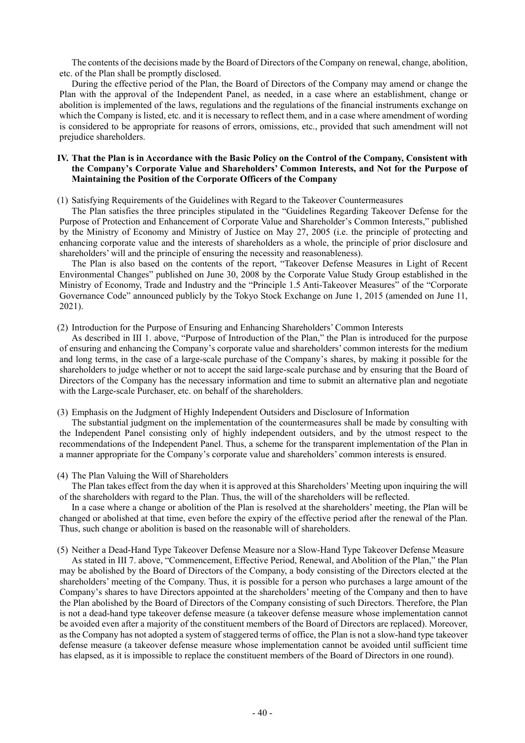The contents of the decisions made by the Board of Directors of the Company on renewal, change, abolition, etc. of the Plan shall be promptly disclosed.

During the effective period of the Plan, the Board of Directors of the Company may amend or change the Plan with the approval of the Independent Panel, as needed, in a case where an establishment, change or abolition is implemented of the laws, regulations and the regulations of the financial instruments exchange on which the Company is listed, etc. and it is necessary to reflect them, and in a case where amendment of wording is considered to be appropriate for reasons of errors, omissions, etc., provided that such amendment will not prejudice shareholders.

## **IV. That the Plan is in Accordance with the Basic Policy on the Control of the Company, Consistent with the Company's Corporate Value and Shareholders' Common Interests, and Not for the Purpose of Maintaining the Position of the Corporate Officers of the Company**

(1) Satisfying Requirements of the Guidelines with Regard to the Takeover Countermeasures

The Plan satisfies the three principles stipulated in the "Guidelines Regarding Takeover Defense for the Purpose of Protection and Enhancement of Corporate Value and Shareholder's Common Interests," published by the Ministry of Economy and Ministry of Justice on May 27, 2005 (i.e. the principle of protecting and enhancing corporate value and the interests of shareholders as a whole, the principle of prior disclosure and shareholders' will and the principle of ensuring the necessity and reasonableness).

The Plan is also based on the contents of the report, "Takeover Defense Measures in Light of Recent Environmental Changes" published on June 30, 2008 by the Corporate Value Study Group established in the Ministry of Economy, Trade and Industry and the "Principle 1.5 Anti-Takeover Measures" of the "Corporate Governance Code" announced publicly by the Tokyo Stock Exchange on June 1, 2015 (amended on June 11, 2021).

(2) Introduction for the Purpose of Ensuring and Enhancing Shareholders' Common Interests

As described in III 1. above, "Purpose of Introduction of the Plan," the Plan is introduced for the purpose of ensuring and enhancing the Company's corporate value and shareholders' common interests for the medium and long terms, in the case of a large-scale purchase of the Company's shares, by making it possible for the shareholders to judge whether or not to accept the said large-scale purchase and by ensuring that the Board of Directors of the Company has the necessary information and time to submit an alternative plan and negotiate with the Large-scale Purchaser, etc. on behalf of the shareholders.

(3) Emphasis on the Judgment of Highly Independent Outsiders and Disclosure of Information

The substantial judgment on the implementation of the countermeasures shall be made by consulting with the Independent Panel consisting only of highly independent outsiders, and by the utmost respect to the recommendations of the Independent Panel. Thus, a scheme for the transparent implementation of the Plan in a manner appropriate for the Company's corporate value and shareholders' common interests is ensured.

### (4) The Plan Valuing the Will of Shareholders

The Plan takes effect from the day when it is approved at this Shareholders' Meeting upon inquiring the will of the shareholders with regard to the Plan. Thus, the will of the shareholders will be reflected.

In a case where a change or abolition of the Plan is resolved at the shareholders' meeting, the Plan will be changed or abolished at that time, even before the expiry of the effective period after the renewal of the Plan. Thus, such change or abolition is based on the reasonable will of shareholders.

(5) Neither a Dead-Hand Type Takeover Defense Measure nor a Slow-Hand Type Takeover Defense Measure

As stated in III 7. above, "Commencement, Effective Period, Renewal, and Abolition of the Plan," the Plan may be abolished by the Board of Directors of the Company, a body consisting of the Directors elected at the shareholders' meeting of the Company. Thus, it is possible for a person who purchases a large amount of the Company's shares to have Directors appointed at the shareholders' meeting of the Company and then to have the Plan abolished by the Board of Directors of the Company consisting of such Directors. Therefore, the Plan is not a dead-hand type takeover defense measure (a takeover defense measure whose implementation cannot be avoided even after a majority of the constituent members of the Board of Directors are replaced). Moreover, as the Company has not adopted a system of staggered terms of office, the Plan is not a slow-hand type takeover defense measure (a takeover defense measure whose implementation cannot be avoided until sufficient time has elapsed, as it is impossible to replace the constituent members of the Board of Directors in one round).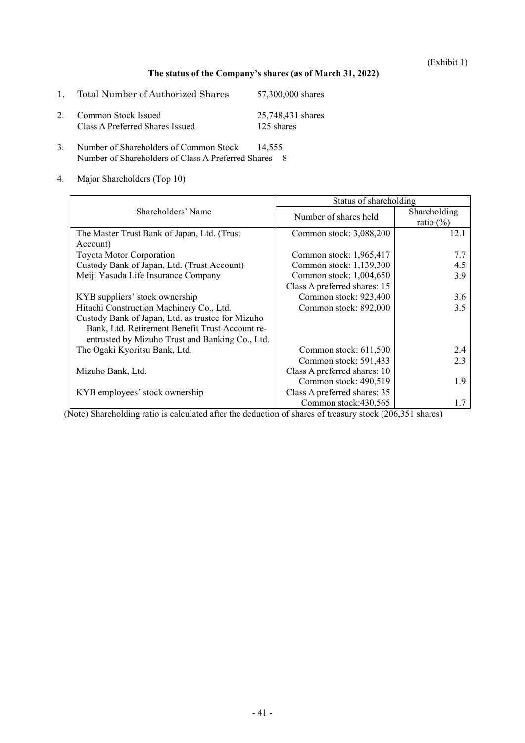(Exhibit 1)

# **The status of the Company's shares (as of March 31, 2022)**

- 1. Total Number of Authorized Shares 57,300,000 shares 2. Common Stock Issued 25,748,431 shares<br>Class A Preferred Shares Issued 125 shares Class A Preferred Shares Issued
- 3. Number of Shareholders of Common Stock 14,555 Number of Shareholders of Class A Preferred Shares 8
- 4. Major Shareholders (Top 10)

|                                                   | Status of shareholding       |                                     |  |
|---------------------------------------------------|------------------------------|-------------------------------------|--|
| Shareholders' Name                                | Number of shares held        | <b>Shareholding</b><br>ratio $(\%)$ |  |
| The Master Trust Bank of Japan, Ltd. (Trust       | Common stock: 3,088,200      | 12.1                                |  |
| Account)                                          |                              |                                     |  |
| <b>Toyota Motor Corporation</b>                   | Common stock: 1,965,417      | 7.7                                 |  |
| Custody Bank of Japan, Ltd. (Trust Account)       | Common stock: 1,139,300      | 4.5                                 |  |
| Meiji Yasuda Life Insurance Company               | Common stock: 1,004,650      | 3.9                                 |  |
|                                                   | Class A preferred shares: 15 |                                     |  |
| KYB suppliers' stock ownership                    | Common stock: 923,400        | 3.6                                 |  |
| Hitachi Construction Machinery Co., Ltd.          | Common stock: 892,000        | 3.5                                 |  |
| Custody Bank of Japan, Ltd. as trustee for Mizuho |                              |                                     |  |
| Bank, Ltd. Retirement Benefit Trust Account re-   |                              |                                     |  |
| entrusted by Mizuho Trust and Banking Co., Ltd.   |                              |                                     |  |
| The Ogaki Kyoritsu Bank, Ltd.                     | Common stock: 611,500        | 2.4                                 |  |
|                                                   | Common stock: 591,433        | 2.3                                 |  |
| Mizuho Bank, Ltd.                                 | Class A preferred shares: 10 |                                     |  |
|                                                   | Common stock: 490,519        | 1.9                                 |  |
| KYB employees' stock ownership                    | Class A preferred shares: 35 |                                     |  |
|                                                   | Common stock:430,565         |                                     |  |

(Note) Shareholding ratio is calculated after the deduction of shares of treasury stock (206,351 shares)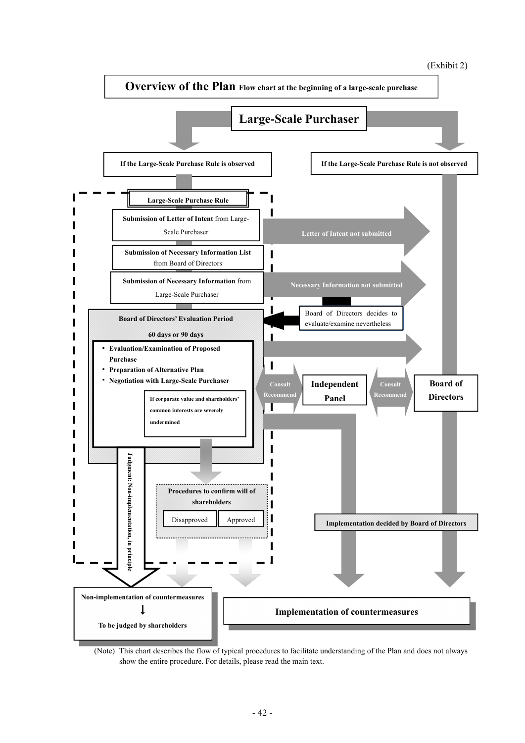



(Note) This chart describes the flow of typical procedures to facilitate understanding of the Plan and does not always show the entire procedure. For details, please read the main text.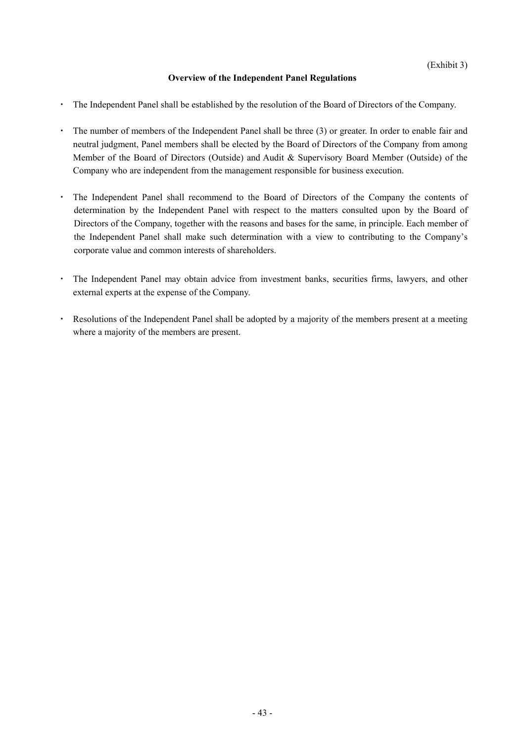# **Overview of the Independent Panel Regulations**

- The Independent Panel shall be established by the resolution of the Board of Directors of the Company.
- ・ The number of members of the Independent Panel shall be three (3) or greater. In order to enable fair and neutral judgment, Panel members shall be elected by the Board of Directors of the Company from among Member of the Board of Directors (Outside) and Audit & Supervisory Board Member (Outside) of the Company who are independent from the management responsible for business execution.
- The Independent Panel shall recommend to the Board of Directors of the Company the contents of determination by the Independent Panel with respect to the matters consulted upon by the Board of Directors of the Company, together with the reasons and bases for the same, in principle. Each member of the Independent Panel shall make such determination with a view to contributing to the Company's corporate value and common interests of shareholders.
- ・ The Independent Panel may obtain advice from investment banks, securities firms, lawyers, and other external experts at the expense of the Company.
- ・ Resolutions of the Independent Panel shall be adopted by a majority of the members present at a meeting where a majority of the members are present.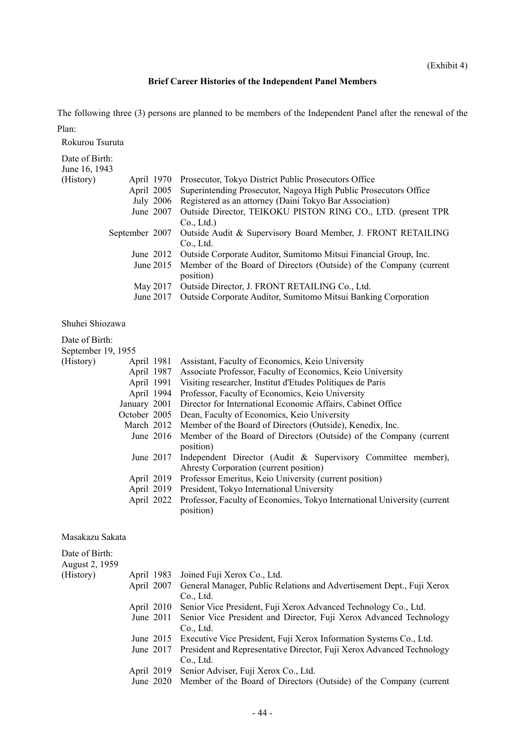# **Brief Career Histories of the Independent Panel Members**

The following three (3) persons are planned to be members of the Independent Panel after the renewal of the

| Plan:                           |                                                                                          |
|---------------------------------|------------------------------------------------------------------------------------------|
| Rokurou Tsuruta                 |                                                                                          |
| Date of Birth:<br>June 16, 1943 |                                                                                          |
| (History)<br>April 1970         | Prosecutor, Tokyo District Public Prosecutors Office                                     |
|                                 | April 2005 Superintending Prosecutor, Nagoya High Public Prosecutors Office              |
|                                 | July 2006 Registered as an attorney (Daini Tokyo Bar Association)                        |
| June $2007$                     | Outside Director, TEIKOKU PISTON RING CO., LTD. (present TPR<br>Co., Ltd.)               |
|                                 | September 2007 Outside Audit & Supervisory Board Member, J. FRONT RETAILING<br>Co., Ltd. |
|                                 | June 2012 Outside Corporate Auditor, Sumitomo Mitsui Financial Group, Inc.               |
| June $2015$                     | Member of the Board of Directors (Outside) of the Company (current<br>position)          |
| May 2017                        | Outside Director, J. FRONT RETAILING Co., Ltd.                                           |
| June 2017                       | Outside Corporate Auditor, Sumitomo Mitsui Banking Corporation                           |

Shuhei Shiozawa

| Date of Birth:     |            |                                                                                     |
|--------------------|------------|-------------------------------------------------------------------------------------|
| September 19, 1955 |            |                                                                                     |
| (History)          |            | April 1981 Assistant, Faculty of Economics, Keio University                         |
|                    |            | April 1987 Associate Professor, Faculty of Economics, Keio University               |
|                    |            | April 1991 Visiting researcher, Institut d'Etudes Politiques de Paris               |
|                    | April 1994 | Professor, Faculty of Economics, Keio University                                    |
|                    |            | January 2001 Director for International Economic Affairs, Cabinet Office            |
|                    |            | October 2005 Dean, Faculty of Economics, Keio University                            |
|                    |            | March 2012 Member of the Board of Directors (Outside), Kenedix, Inc.                |
|                    |            | June 2016 Member of the Board of Directors (Outside) of the Company (current        |
|                    |            | position)                                                                           |
|                    |            | June 2017 Independent Director (Audit & Supervisory Committee member),              |
|                    |            | Ahresty Corporation (current position)                                              |
|                    |            | April 2019 Professor Emeritus, Keio University (current position)                   |
|                    |            | April 2019 President, Tokyo International University                                |
|                    |            | April 2022 Professor, Faculty of Economics, Tokyo International University (current |
|                    |            | position)                                                                           |

Masakazu Sakata

| Date of Birth: |             |                                                                                  |
|----------------|-------------|----------------------------------------------------------------------------------|
| August 2, 1959 |             |                                                                                  |
| (History)      |             | April 1983 Joined Fuji Xerox Co., Ltd.                                           |
|                |             | April 2007 General Manager, Public Relations and Advertisement Dept., Fuji Xerox |
|                |             | Co., Ltd.                                                                        |
|                |             | April 2010 Senior Vice President, Fuji Xerox Advanced Technology Co., Ltd.       |
|                | June $2011$ | Senior Vice President and Director, Fuji Xerox Advanced Technology               |
|                |             | Co., Ltd.                                                                        |
|                |             | June 2015 Executive Vice President, Fuji Xerox Information Systems Co., Ltd.     |
|                | June $2017$ | President and Representative Director, Fuji Xerox Advanced Technology            |
|                |             | Co., Ltd.                                                                        |
|                |             | April 2019 Senior Adviser, Fuji Xerox Co., Ltd.                                  |
|                |             | June 2020 Member of the Board of Directors (Outside) of the Company (current     |
|                |             |                                                                                  |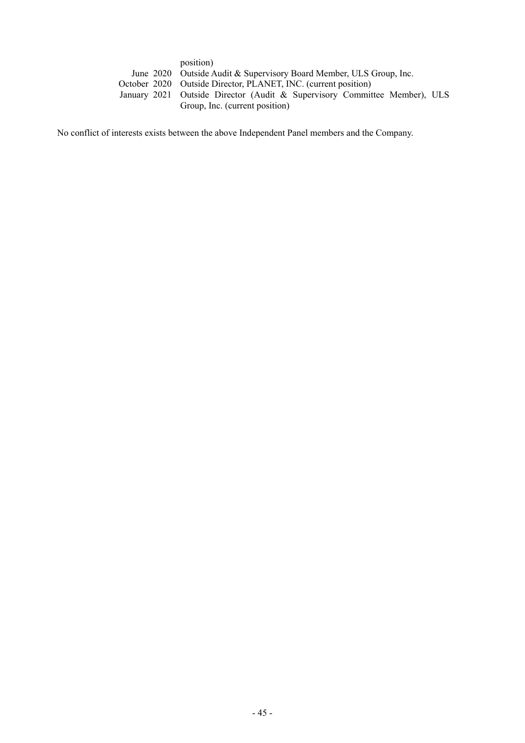| position)                                                                 |
|---------------------------------------------------------------------------|
| June 2020 Outside Audit & Supervisory Board Member, ULS Group, Inc.       |
| October 2020 Outside Director, PLANET, INC. (current position)            |
| January 2021 Outside Director (Audit & Supervisory Committee Member), ULS |
| Group, Inc. (current position)                                            |

No conflict of interests exists between the above Independent Panel members and the Company.